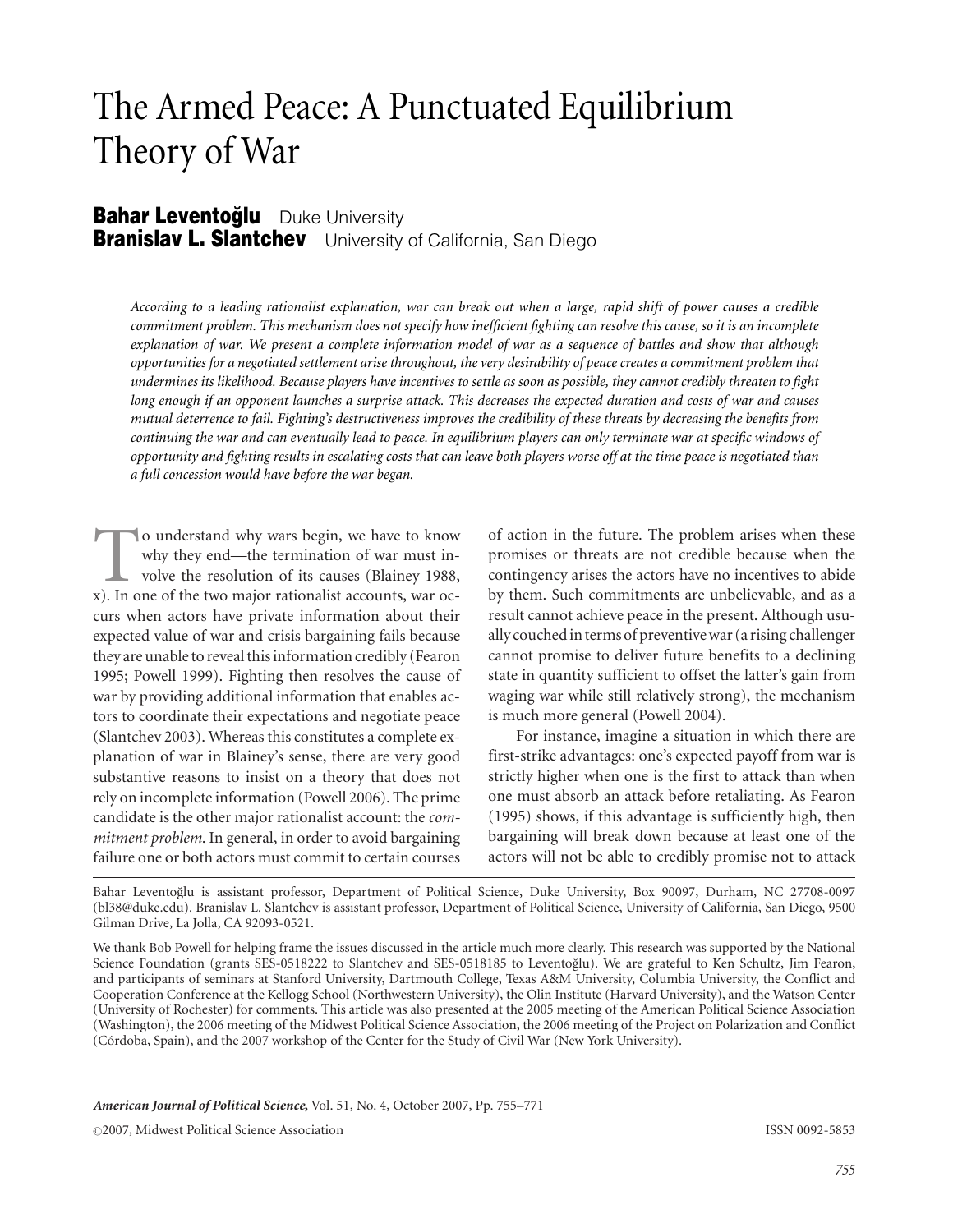# The Armed Peace: A Punctuated Equilibrium Theory of War

# **Bahar Leventoğlu** Duke University **Branislav L. Slantchev** University of California, San Diego

*According to a leading rationalist explanation, war can break out when a large, rapid shift of power causes a credible commitment problem. This mechanism does not specify how inefficient fighting can resolve this cause, so it is an incomplete explanation of war. We present a complete information model of war as a sequence of battles and show that although opportunities for a negotiated settlement arise throughout, the very desirability of peace creates a commitment problem that undermines its likelihood. Because players have incentives to settle as soon as possible, they cannot credibly threaten to fight long enough if an opponent launches a surprise attack. This decreases the expected duration and costs of war and causes mutual deterrence to fail. Fighting's destructiveness improves the credibility of these threats by decreasing the benefits from continuing the war and can eventually lead to peace. In equilibrium players can only terminate war at specific windows of opportunity and fighting results in escalating costs that can leave both players worse off at the time peace is negotiated than a full concession would have before the war began.*

To understand why wars begin, we have to know<br>why they end—the termination of war must in-<br>volve the resolution of its causes (Blainey 1988,<br>x). In one of the two maior rationalist accounts, war ocwhy they end—the termination of war must involve the resolution of its causes (Blainey 1988, x). In one of the two major rationalist accounts, war occurs when actors have private information about their expected value of war and crisis bargaining fails because they are unable to reveal this information credibly (Fearon 1995; Powell 1999). Fighting then resolves the cause of war by providing additional information that enables actors to coordinate their expectations and negotiate peace (Slantchev 2003). Whereas this constitutes a complete explanation of war in Blainey's sense, there are very good substantive reasons to insist on a theory that does not rely on incomplete information (Powell 2006). The prime candidate is the other major rationalist account: the *commitment problem*. In general, in order to avoid bargaining failure one or both actors must commit to certain courses

of action in the future. The problem arises when these promises or threats are not credible because when the contingency arises the actors have no incentives to abide by them. Such commitments are unbelievable, and as a result cannot achieve peace in the present. Although usually couched in terms of preventive war (a rising challenger cannot promise to deliver future benefits to a declining state in quantity sufficient to offset the latter's gain from waging war while still relatively strong), the mechanism is much more general (Powell 2004).

For instance, imagine a situation in which there are first-strike advantages: one's expected payoff from war is strictly higher when one is the first to attack than when one must absorb an attack before retaliating. As Fearon (1995) shows, if this advantage is sufficiently high, then bargaining will break down because at least one of the actors will not be able to credibly promise not to attack

Bahar Leventoglu is assistant professor, Department of Political Science, Duke University, Box 90097, Durham, NC 27708-0097 ˘ (bl38@duke.edu). Branislav L. Slantchev is assistant professor, Department of Political Science, University of California, San Diego, 9500 Gilman Drive, La Jolla, CA 92093-0521.

We thank Bob Powell for helping frame the issues discussed in the article much more clearly. This research was supported by the National Science Foundation (grants SES-0518222 to Slantchev and SES-0518185 to Leventoğlu). We are grateful to Ken Schultz, Jim Fearon, and participants of seminars at Stanford University, Dartmouth College, Texas A&M University, Columbia University, the Conflict and Cooperation Conference at the Kellogg School (Northwestern University), the Olin Institute (Harvard University), and the Watson Center (University of Rochester) for comments. This article was also presented at the 2005 meeting of the American Political Science Association (Washington), the 2006 meeting of the Midwest Political Science Association, the 2006 meeting of the Project on Polarization and Conflict (Córdoba, Spain), and the 2007 workshop of the Center for the Study of Civil War (New York University).

*American Journal of Political Science***,** Vol. 51, No. 4, October 2007, Pp. 755–771

-<sup>C</sup> 2007, Midwest Political Science Association ISSN 0092-5853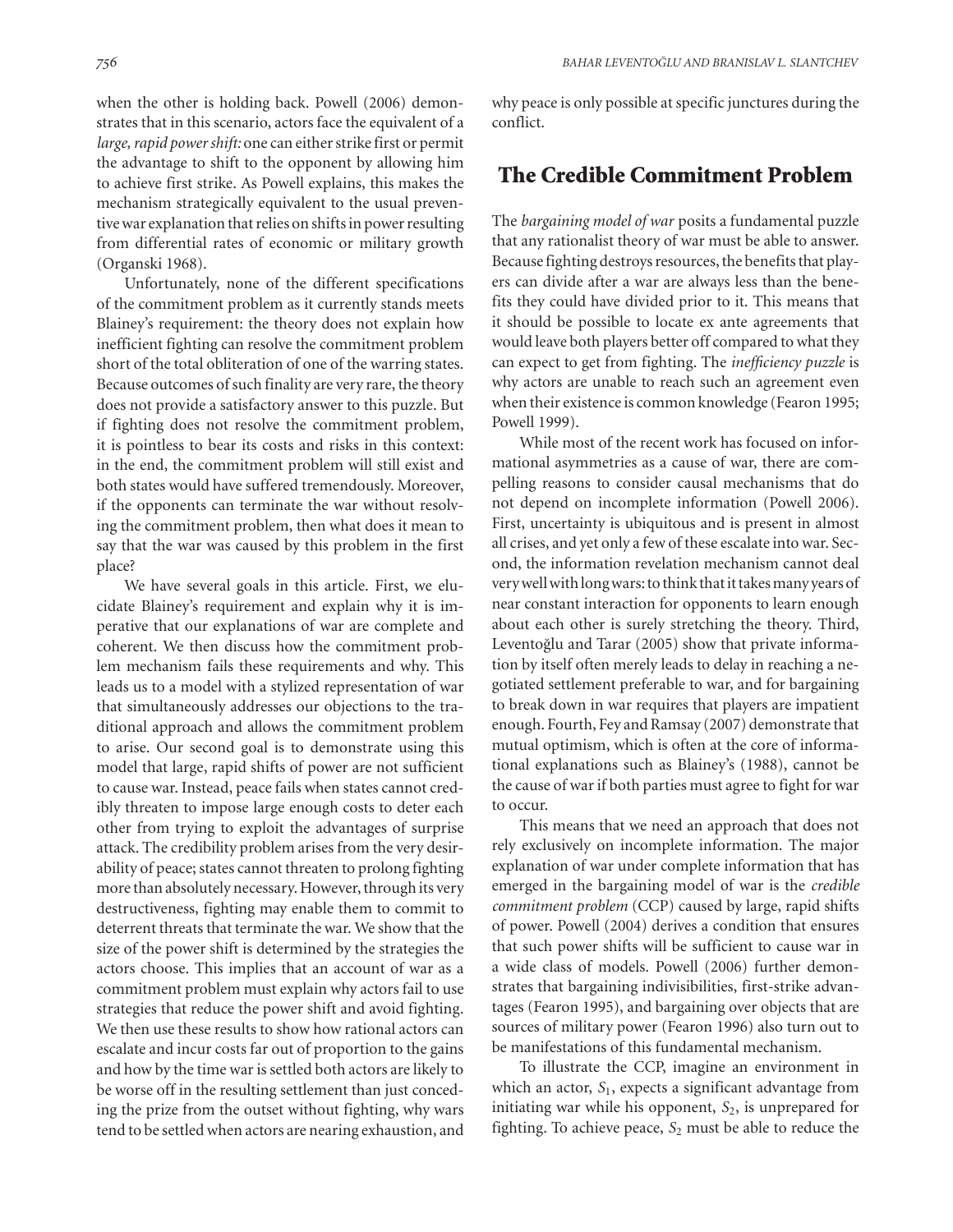when the other is holding back. Powell (2006) demonstrates that in this scenario, actors face the equivalent of a *large, rapid power shift:* one can either strike first or permit the advantage to shift to the opponent by allowing him to achieve first strike. As Powell explains, this makes the mechanism strategically equivalent to the usual preventive war explanation that relies on shifts in power resulting from differential rates of economic or military growth (Organski 1968).

Unfortunately, none of the different specifications of the commitment problem as it currently stands meets Blainey's requirement: the theory does not explain how inefficient fighting can resolve the commitment problem short of the total obliteration of one of the warring states. Because outcomes of such finality are very rare, the theory does not provide a satisfactory answer to this puzzle. But if fighting does not resolve the commitment problem, it is pointless to bear its costs and risks in this context: in the end, the commitment problem will still exist and both states would have suffered tremendously. Moreover, if the opponents can terminate the war without resolving the commitment problem, then what does it mean to say that the war was caused by this problem in the first place?

We have several goals in this article. First, we elucidate Blainey's requirement and explain why it is imperative that our explanations of war are complete and coherent. We then discuss how the commitment problem mechanism fails these requirements and why. This leads us to a model with a stylized representation of war that simultaneously addresses our objections to the traditional approach and allows the commitment problem to arise. Our second goal is to demonstrate using this model that large, rapid shifts of power are not sufficient to cause war. Instead, peace fails when states cannot credibly threaten to impose large enough costs to deter each other from trying to exploit the advantages of surprise attack. The credibility problem arises from the very desirability of peace; states cannot threaten to prolong fighting more than absolutely necessary. However, through its very destructiveness, fighting may enable them to commit to deterrent threats that terminate the war. We show that the size of the power shift is determined by the strategies the actors choose. This implies that an account of war as a commitment problem must explain why actors fail to use strategies that reduce the power shift and avoid fighting. We then use these results to show how rational actors can escalate and incur costs far out of proportion to the gains and how by the time war is settled both actors are likely to be worse off in the resulting settlement than just conceding the prize from the outset without fighting, why wars tend to be settled when actors are nearing exhaustion, and

why peace is only possible at specific junctures during the conflict.

## **The Credible Commitment Problem**

The *bargaining model of war* posits a fundamental puzzle that any rationalist theory of war must be able to answer. Because fighting destroys resources, the benefits that players can divide after a war are always less than the benefits they could have divided prior to it. This means that it should be possible to locate ex ante agreements that would leave both players better off compared to what they can expect to get from fighting. The *inefficiency puzzle* is why actors are unable to reach such an agreement even when their existence is common knowledge (Fearon 1995; Powell 1999).

While most of the recent work has focused on informational asymmetries as a cause of war, there are compelling reasons to consider causal mechanisms that do not depend on incomplete information (Powell 2006). First, uncertainty is ubiquitous and is present in almost all crises, and yet only a few of these escalate into war. Second, the information revelation mechanism cannot deal very well with long wars: to think that it takes many years of near constant interaction for opponents to learn enough about each other is surely stretching the theory. Third, Leventoğlu and Tarar (2005) show that private information by itself often merely leads to delay in reaching a negotiated settlement preferable to war, and for bargaining to break down in war requires that players are impatient enough. Fourth, Fey and Ramsay (2007) demonstrate that mutual optimism, which is often at the core of informational explanations such as Blainey's (1988), cannot be the cause of war if both parties must agree to fight for war to occur.

This means that we need an approach that does not rely exclusively on incomplete information. The major explanation of war under complete information that has emerged in the bargaining model of war is the *credible commitment problem* (CCP) caused by large, rapid shifts of power. Powell (2004) derives a condition that ensures that such power shifts will be sufficient to cause war in a wide class of models. Powell (2006) further demonstrates that bargaining indivisibilities, first-strike advantages (Fearon 1995), and bargaining over objects that are sources of military power (Fearon 1996) also turn out to be manifestations of this fundamental mechanism.

To illustrate the CCP, imagine an environment in which an actor, *S*1, expects a significant advantage from initiating war while his opponent,  $S_2$ , is unprepared for fighting. To achieve peace, *S*<sup>2</sup> must be able to reduce the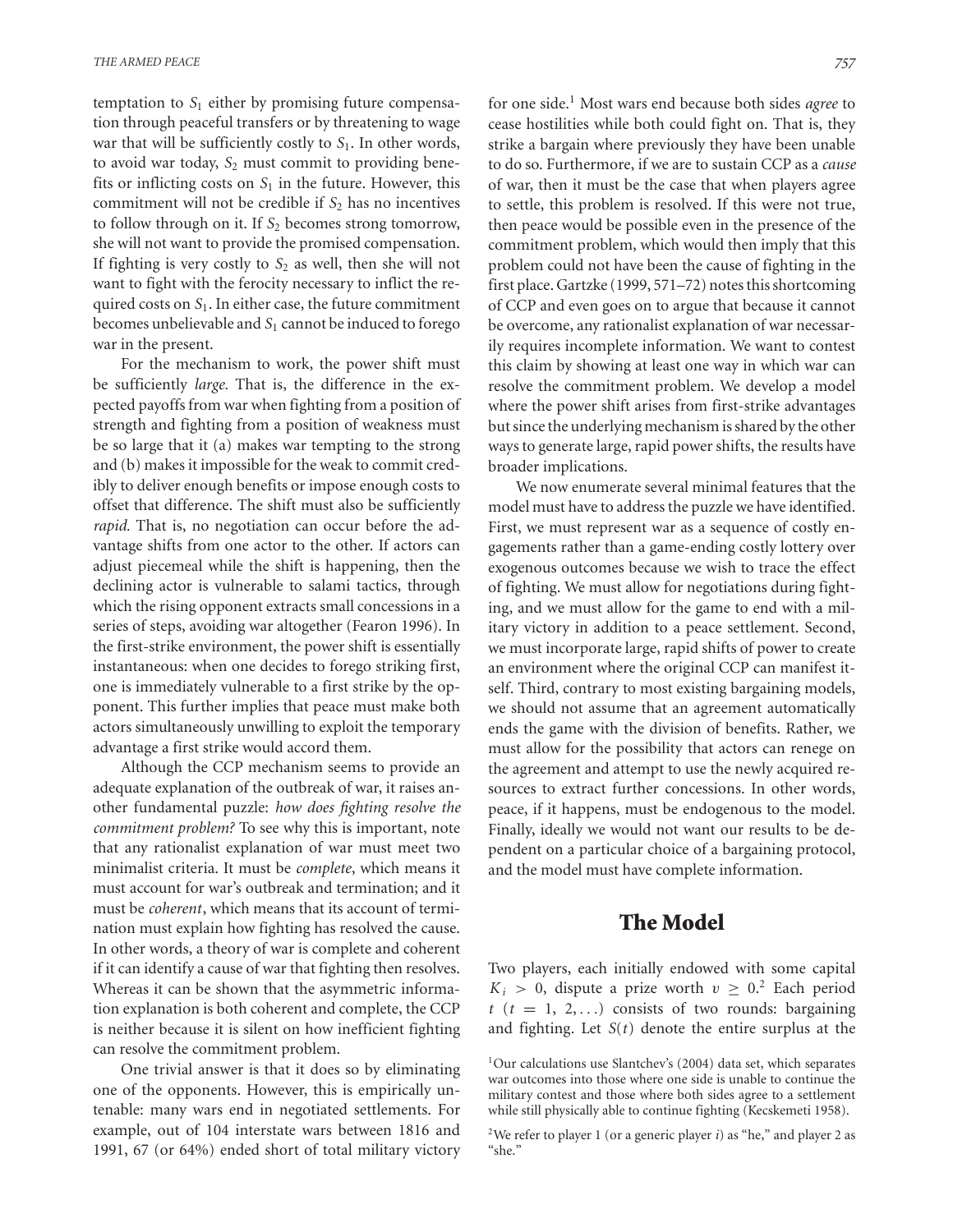temptation to  $S_1$  either by promising future compensation through peaceful transfers or by threatening to wage war that will be sufficiently costly to *S*<sub>1</sub>. In other words, to avoid war today, *S*<sup>2</sup> must commit to providing benefits or inflicting costs on  $S_1$  in the future. However, this commitment will not be credible if *S*<sup>2</sup> has no incentives to follow through on it. If  $S_2$  becomes strong tomorrow, she will not want to provide the promised compensation. If fighting is very costly to  $S_2$  as well, then she will not want to fight with the ferocity necessary to inflict the required costs on *S*1. In either case, the future commitment becomes unbelievable and  $S_1$  cannot be induced to forego war in the present.

For the mechanism to work, the power shift must be sufficiently *large.* That is, the difference in the expected payoffs from war when fighting from a position of strength and fighting from a position of weakness must be so large that it (a) makes war tempting to the strong and (b) makes it impossible for the weak to commit credibly to deliver enough benefits or impose enough costs to offset that difference. The shift must also be sufficiently *rapid.* That is, no negotiation can occur before the advantage shifts from one actor to the other. If actors can adjust piecemeal while the shift is happening, then the declining actor is vulnerable to salami tactics, through which the rising opponent extracts small concessions in a series of steps, avoiding war altogether (Fearon 1996). In the first-strike environment, the power shift is essentially instantaneous: when one decides to forego striking first, one is immediately vulnerable to a first strike by the opponent. This further implies that peace must make both actors simultaneously unwilling to exploit the temporary advantage a first strike would accord them.

Although the CCP mechanism seems to provide an adequate explanation of the outbreak of war, it raises another fundamental puzzle: *how does fighting resolve the commitment problem?* To see why this is important, note that any rationalist explanation of war must meet two minimalist criteria. It must be *complete*, which means it must account for war's outbreak and termination; and it must be *coherent*, which means that its account of termination must explain how fighting has resolved the cause. In other words, a theory of war is complete and coherent if it can identify a cause of war that fighting then resolves. Whereas it can be shown that the asymmetric information explanation is both coherent and complete, the CCP is neither because it is silent on how inefficient fighting can resolve the commitment problem.

One trivial answer is that it does so by eliminating one of the opponents. However, this is empirically untenable: many wars end in negotiated settlements. For example, out of 104 interstate wars between 1816 and 1991, 67 (or 64%) ended short of total military victory

for one side.1 Most wars end because both sides *agree* to cease hostilities while both could fight on. That is, they strike a bargain where previously they have been unable to do so. Furthermore, if we are to sustain CCP as a *cause* of war, then it must be the case that when players agree to settle, this problem is resolved. If this were not true, then peace would be possible even in the presence of the commitment problem, which would then imply that this problem could not have been the cause of fighting in the first place. Gartzke (1999, 571–72) notes this shortcoming of CCP and even goes on to argue that because it cannot be overcome, any rationalist explanation of war necessarily requires incomplete information. We want to contest this claim by showing at least one way in which war can resolve the commitment problem. We develop a model where the power shift arises from first-strike advantages but since the underlying mechanism is shared by the other ways to generate large, rapid power shifts, the results have broader implications.

We now enumerate several minimal features that the model must have to address the puzzle we have identified. First, we must represent war as a sequence of costly engagements rather than a game-ending costly lottery over exogenous outcomes because we wish to trace the effect of fighting. We must allow for negotiations during fighting, and we must allow for the game to end with a military victory in addition to a peace settlement. Second, we must incorporate large, rapid shifts of power to create an environment where the original CCP can manifest itself. Third, contrary to most existing bargaining models, we should not assume that an agreement automatically ends the game with the division of benefits. Rather, we must allow for the possibility that actors can renege on the agreement and attempt to use the newly acquired resources to extract further concessions. In other words, peace, if it happens, must be endogenous to the model. Finally, ideally we would not want our results to be dependent on a particular choice of a bargaining protocol, and the model must have complete information.

## **The Model**

Two players, each initially endowed with some capital  $K_i > 0$ , dispute a prize worth  $v \geq 0$ .<sup>2</sup> Each period  $t$  ( $t = 1, 2, \ldots$ ) consists of two rounds: bargaining and fighting. Let *S*(*t*) denote the entire surplus at the

 $1$ Our calculations use Slantchev's (2004) data set, which separates war outcomes into those where one side is unable to continue the military contest and those where both sides agree to a settlement while still physically able to continue fighting (Kecskemeti 1958).

<sup>2</sup>We refer to player 1 (or a generic player *i*) as "he," and player 2 as "she."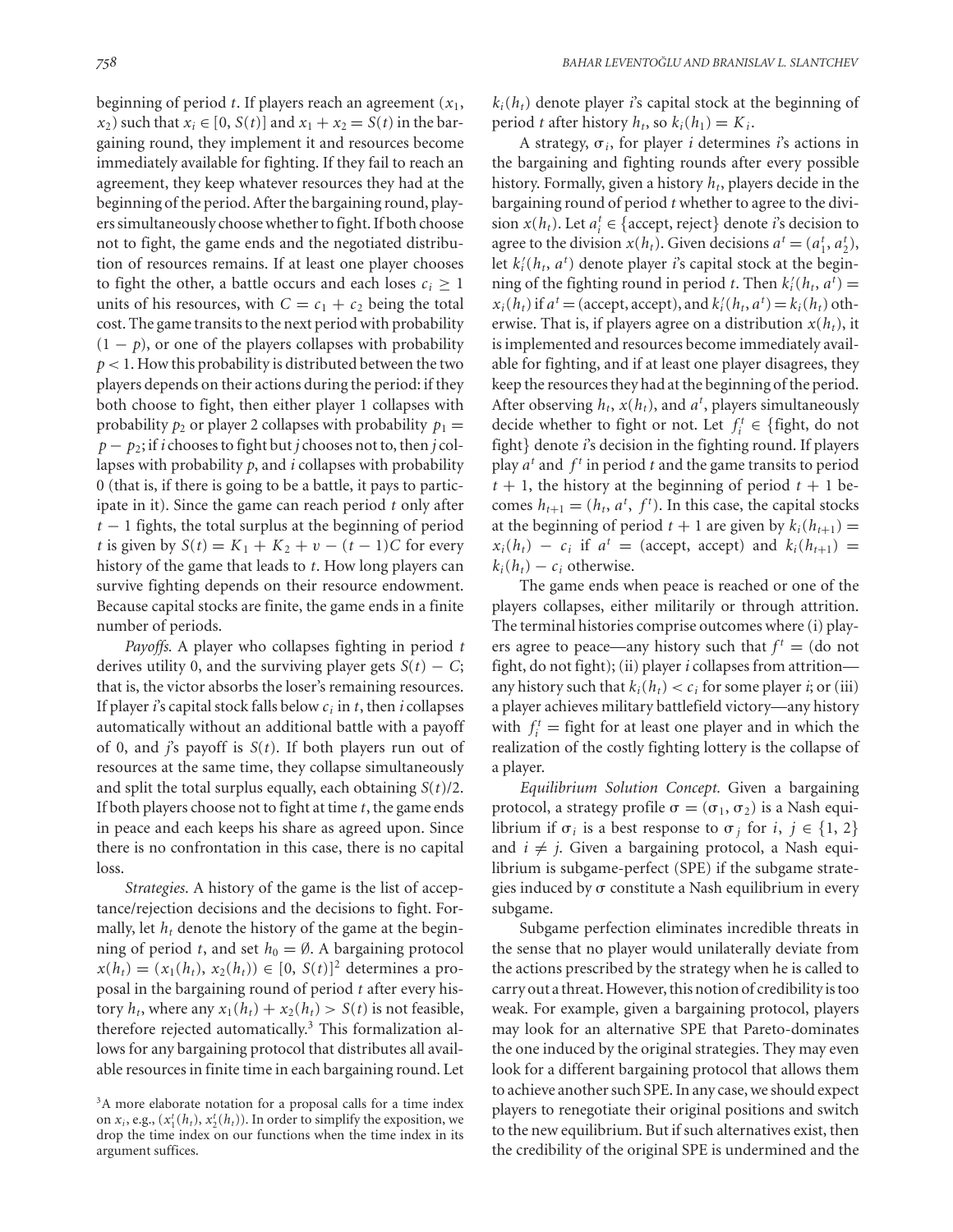beginning of period *t*. If players reach an agreement (*x*1, *x*<sub>2</sub>) such that  $x_i \in [0, S(t)]$  and  $x_1 + x_2 = S(t)$  in the bargaining round, they implement it and resources become immediately available for fighting. If they fail to reach an agreement, they keep whatever resources they had at the beginning of the period. After the bargaining round, players simultaneously choose whether to fight. If both choose not to fight, the game ends and the negotiated distribution of resources remains. If at least one player chooses to fight the other, a battle occurs and each loses  $c_i \geq 1$ units of his resources, with  $C = c_1 + c_2$  being the total cost. The game transits to the next period with probability  $(1 - p)$ , or one of the players collapses with probability *p* < 1. How this probability is distributed between the two players depends on their actions during the period: if they both choose to fight, then either player 1 collapses with probability  $p_2$  or player 2 collapses with probability  $p_1 =$ *p* − *p*2; if *i* chooses to fight but *j* chooses not to, then *j* collapses with probability *p*, and *i* collapses with probability 0 (that is, if there is going to be a battle, it pays to participate in it). Since the game can reach period *t* only after *t* − 1 fights, the total surplus at the beginning of period *t* is given by  $S(t) = K_1 + K_2 + v - (t - 1)C$  for every history of the game that leads to *t*. How long players can survive fighting depends on their resource endowment. Because capital stocks are finite, the game ends in a finite number of periods.

*Payoffs.* A player who collapses fighting in period *t* derives utility 0, and the surviving player gets  $S(t) - C$ ; that is, the victor absorbs the loser's remaining resources. If player *i*'s capital stock falls below  $c_i$  in *t*, then *i* collapses automatically without an additional battle with a payoff of 0, and *j*'s payoff is *S*(*t*). If both players run out of resources at the same time, they collapse simultaneously and split the total surplus equally, each obtaining *S*(*t*)/2. If both players choose not to fight at time *t*, the game ends in peace and each keeps his share as agreed upon. Since there is no confrontation in this case, there is no capital loss.

*Strategies*. A history of the game is the list of acceptance/rejection decisions and the decisions to fight. Formally, let  $h_t$  denote the history of the game at the beginning of period *t*, and set  $h_0 = \emptyset$ . A bargaining protocol  $x(h_t) = (x_1(h_t), x_2(h_t)) \in [0, S(t)]^2$  determines a proposal in the bargaining round of period *t* after every history  $h_t$ , where any  $x_1(h_t) + x_2(h_t) > S(t)$  is not feasible, therefore rejected automatically.<sup>3</sup> This formalization allows for any bargaining protocol that distributes all available resources in finite time in each bargaining round. Let  $k_i(h_t)$  denote player *i*'s capital stock at the beginning of period *t* after history  $h_t$ , so  $k_i(h_1) = K_i$ .

A strategy,  $\sigma_i$ , for player *i* determines *i*'s actions in the bargaining and fighting rounds after every possible history. Formally, given a history  $h_t$ , players decide in the bargaining round of period *t* whether to agree to the division  $x(h_t)$ . Let  $a_i^t \in \{\text{accept}, \text{reject}\}\$  denote *i*'s decision to agree to the division  $x(h_t)$ . Given decisions  $a^t = (a_1^t, a_2^t)$ , let  $k_i^{\prime}(h_t, a^t)$  denote player *i*'s capital stock at the beginning of the fighting round in period *t*. Then  $k_i^{\prime}(h_t, a^t)$  =  $x_i(h_t)$  if  $a^t =$  (accept, accept), and  $k'_i(h_t, a^t) = k_i(h_t)$  otherwise. That is, if players agree on a distribution  $x(h_t)$ , it is implemented and resources become immediately available for fighting, and if at least one player disagrees, they keep the resources they had at the beginning of the period. After observing  $h_t$ ,  $x(h_t)$ , and  $a^t$ , players simultaneously decide whether to fight or not. Let  $f_i^t \in \{\text{flight}, \text{do not}\}$ fight} denote *i*'s decision in the fighting round. If players play  $a^t$  and  $f^t$  in period  $t$  and the game transits to period  $t + 1$ , the history at the beginning of period  $t + 1$  becomes  $h_{t+1} = (h_t, a^t, f^t)$ . In this case, the capital stocks at the beginning of period  $t + 1$  are given by  $k_i(h_{t+1}) =$  $x_i(h_t) - c_i$  if  $a^t =$  (accept, accept) and  $k_i(h_{t+1}) =$  $k_i(h_t) - c_i$  otherwise.

The game ends when peace is reached or one of the players collapses, either militarily or through attrition. The terminal histories comprise outcomes where (i) players agree to peace—any history such that  $f^t =$  (do not fight, do not fight); (ii) player *i* collapses from attrition any history such that  $k_i(h_t) < c_i$  for some player *i*; or (iii) a player achieves military battlefield victory—any history with  $f_i^t$  = fight for at least one player and in which the realization of the costly fighting lottery is the collapse of a player.

*Equilibrium Solution Concept.* Given a bargaining protocol, a strategy profile  $\sigma = (\sigma_1, \sigma_2)$  is a Nash equilibrium if  $\sigma_i$  is a best response to  $\sigma_j$  for *i*,  $j \in \{1, 2\}$ and  $i \neq j$ . Given a bargaining protocol, a Nash equilibrium is subgame-perfect (SPE) if the subgame strategies induced by  $\sigma$  constitute a Nash equilibrium in every subgame.

Subgame perfection eliminates incredible threats in the sense that no player would unilaterally deviate from the actions prescribed by the strategy when he is called to carry out a threat. However, this notion of credibility is too weak. For example, given a bargaining protocol, players may look for an alternative SPE that Pareto-dominates the one induced by the original strategies. They may even look for a different bargaining protocol that allows them to achieve another such SPE. In any case, we should expect players to renegotiate their original positions and switch to the new equilibrium. But if such alternatives exist, then the credibility of the original SPE is undermined and the

<sup>&</sup>lt;sup>3</sup>A more elaborate notation for a proposal calls for a time index on  $x_i$ , e.g.,  $(x_1^t(h_t), x_2^t(h_t))$ . In order to simplify the exposition, we drop the time index on our functions when the time index in its argument suffices.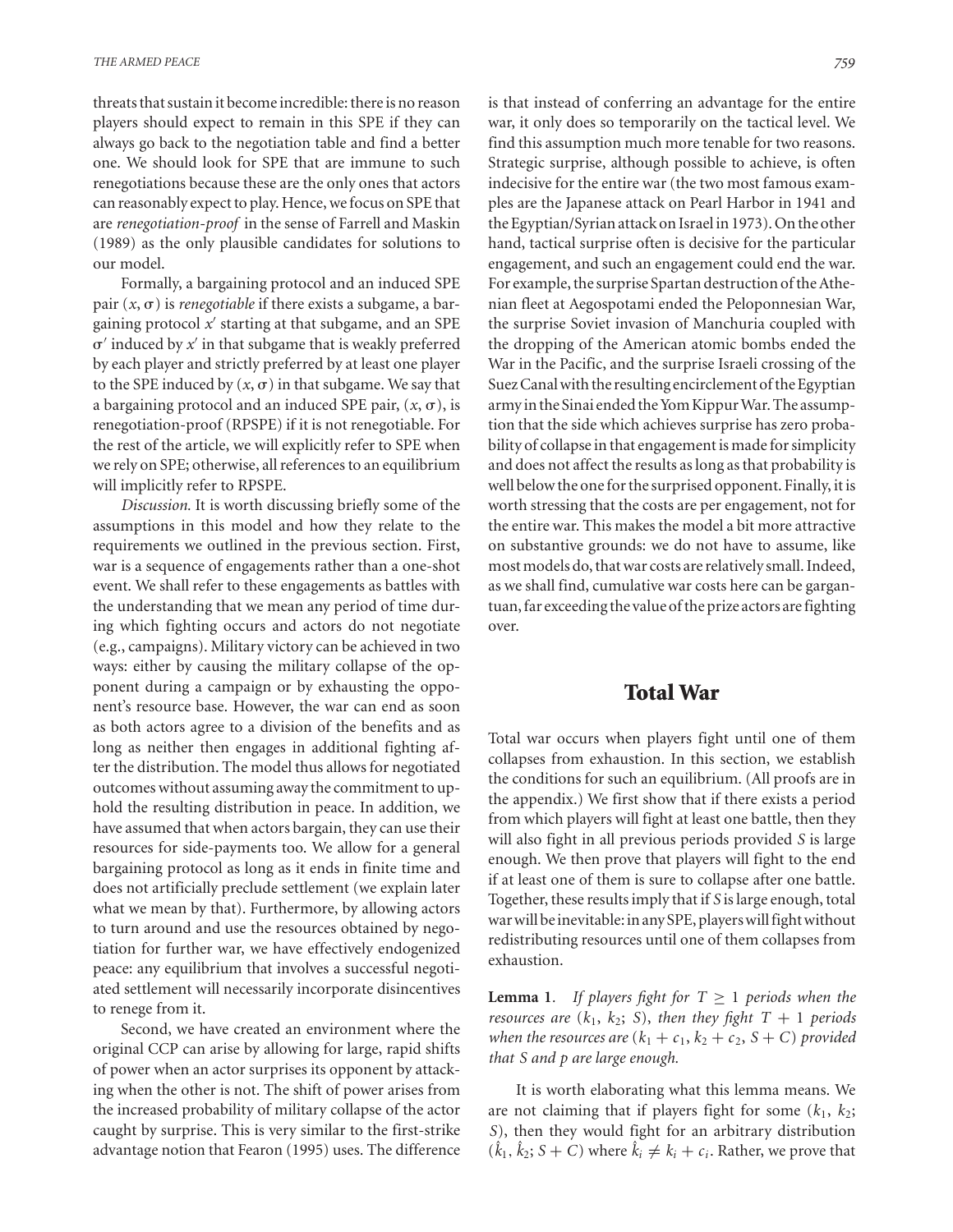threats that sustain it become incredible: there is no reason players should expect to remain in this SPE if they can always go back to the negotiation table and find a better one. We should look for SPE that are immune to such renegotiations because these are the only ones that actors can reasonably expect to play. Hence, we focus on SPE that are *renegotiation-proof* in the sense of Farrell and Maskin (1989) as the only plausible candidates for solutions to our model.

Formally, a bargaining protocol and an induced SPE pair  $(x, \sigma)$  is *renegotiable* if there exists a subgame, a bargaining protocol  $x'$  starting at that subgame, and an SPE  $\sigma'$  induced by  $x'$  in that subgame that is weakly preferred by each player and strictly preferred by at least one player to the SPE induced by  $(x, \sigma)$  in that subgame. We say that a bargaining protocol and an induced SPE pair,  $(x, \sigma)$ , is renegotiation-proof (RPSPE) if it is not renegotiable. For the rest of the article, we will explicitly refer to SPE when we rely on SPE; otherwise, all references to an equilibrium will implicitly refer to RPSPE.

*Discussion.* It is worth discussing briefly some of the assumptions in this model and how they relate to the requirements we outlined in the previous section. First, war is a sequence of engagements rather than a one-shot event. We shall refer to these engagements as battles with the understanding that we mean any period of time during which fighting occurs and actors do not negotiate (e.g., campaigns). Military victory can be achieved in two ways: either by causing the military collapse of the opponent during a campaign or by exhausting the opponent's resource base. However, the war can end as soon as both actors agree to a division of the benefits and as long as neither then engages in additional fighting after the distribution. The model thus allows for negotiated outcomes without assuming away the commitment to uphold the resulting distribution in peace. In addition, we have assumed that when actors bargain, they can use their resources for side-payments too. We allow for a general bargaining protocol as long as it ends in finite time and does not artificially preclude settlement (we explain later what we mean by that). Furthermore, by allowing actors to turn around and use the resources obtained by negotiation for further war, we have effectively endogenized peace: any equilibrium that involves a successful negotiated settlement will necessarily incorporate disincentives to renege from it.

Second, we have created an environment where the original CCP can arise by allowing for large, rapid shifts of power when an actor surprises its opponent by attacking when the other is not. The shift of power arises from the increased probability of military collapse of the actor caught by surprise. This is very similar to the first-strike advantage notion that Fearon (1995) uses. The difference

is that instead of conferring an advantage for the entire war, it only does so temporarily on the tactical level. We find this assumption much more tenable for two reasons. Strategic surprise, although possible to achieve, is often indecisive for the entire war (the two most famous examples are the Japanese attack on Pearl Harbor in 1941 and the Egyptian/Syrian attack on Israel in 1973). On the other hand, tactical surprise often is decisive for the particular engagement, and such an engagement could end the war. For example, the surprise Spartan destruction of the Athenian fleet at Aegospotami ended the Peloponnesian War, the surprise Soviet invasion of Manchuria coupled with the dropping of the American atomic bombs ended the War in the Pacific, and the surprise Israeli crossing of the Suez Canal with the resulting encirclement of the Egyptian army in the Sinai ended the Yom Kippur War. The assumption that the side which achieves surprise has zero probability of collapse in that engagement is made for simplicity and does not affect the results as long as that probability is well below the one for the surprised opponent. Finally, it is worth stressing that the costs are per engagement, not for the entire war. This makes the model a bit more attractive on substantive grounds: we do not have to assume, like most models do, that war costs are relatively small. Indeed, as we shall find, cumulative war costs here can be gargantuan, far exceeding the value of the prize actors are fighting over.

## **Total War**

Total war occurs when players fight until one of them collapses from exhaustion. In this section, we establish the conditions for such an equilibrium. (All proofs are in the appendix.) We first show that if there exists a period from which players will fight at least one battle, then they will also fight in all previous periods provided *S* is large enough. We then prove that players will fight to the end if at least one of them is sure to collapse after one battle. Together, these results imply that if *S* is large enough, total war will be inevitable: in any SPE, players will fight without redistributing resources until one of them collapses from exhaustion.

**Lemma 1***. If players fight for*  $T \geq 1$  *periods when the resources are*  $(k_1, k_2; S)$ , *then they fight*  $T + 1$  *periods when the resources are*  $(k_1 + c_1, k_2 + c_2, S + C)$  *provided that S and p are large enough.*

It is worth elaborating what this lemma means. We are not claiming that if players fight for some  $(k_1, k_2;$ *S*), then they would fight for an arbitrary distribution  $(\hat{k}_1, \hat{k}_2; S + C)$  where  $\hat{k}_i \neq k_i + c_i$ . Rather, we prove that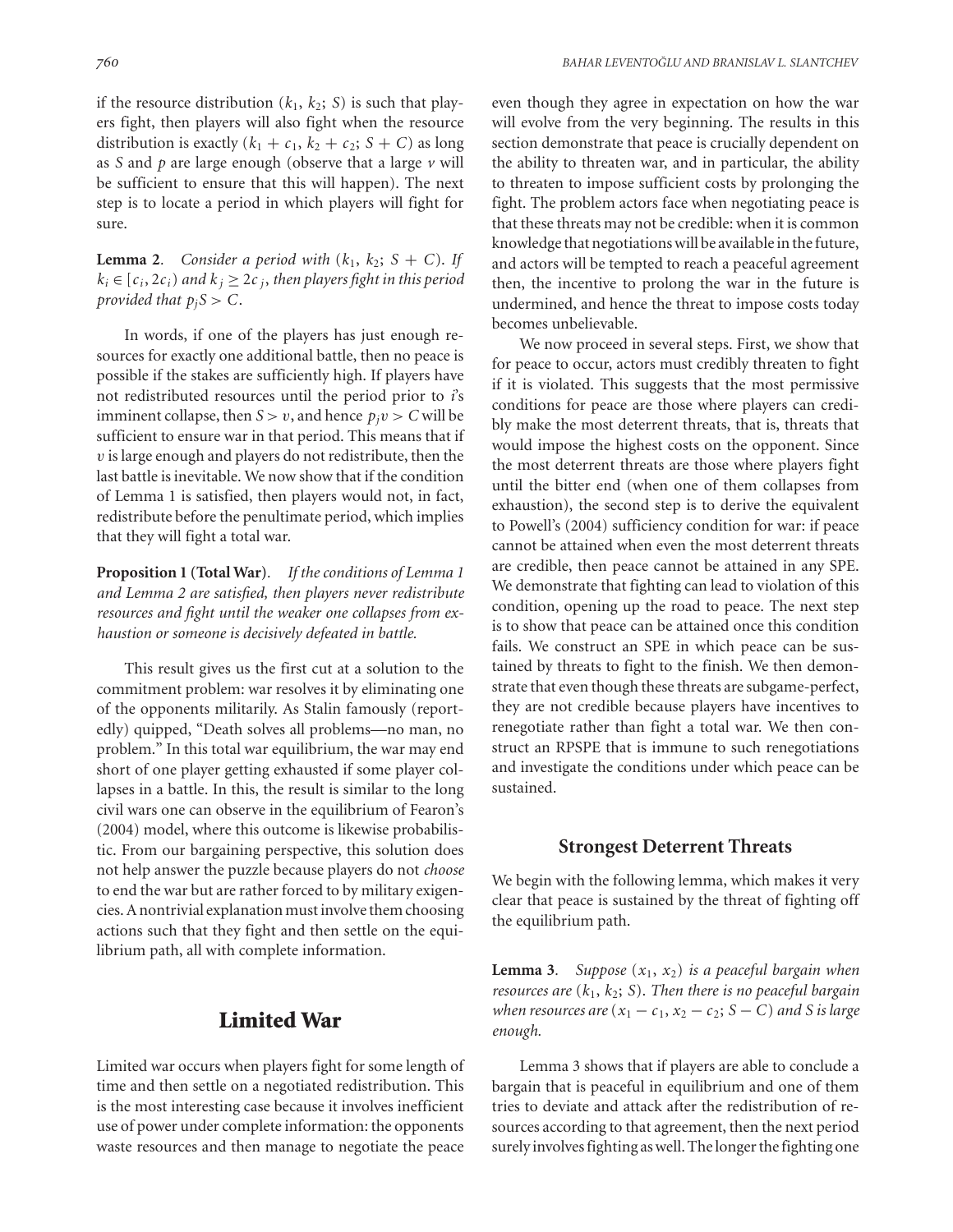if the resource distribution  $(k_1, k_2; S)$  is such that players fight, then players will also fight when the resource distribution is exactly  $(k_1 + c_1, k_2 + c_2; S + C)$  as long as *S* and *p* are large enough (observe that a large *v* will be sufficient to ensure that this will happen). The next step is to locate a period in which players will fight for sure.

**Lemma 2***.* Consider a period with  $(k_1, k_2; S + C)$ . If  $k_i \in [c_i, 2c_i)$  *and*  $k_j \geq 2c_j$ , *then players fight in this period provided that*  $p_iS > C$ .

In words, if one of the players has just enough resources for exactly one additional battle, then no peace is possible if the stakes are sufficiently high. If players have not redistributed resources until the period prior to *i*'s imminent collapse, then  $S > v$ , and hence  $p_j v > C$  will be sufficient to ensure war in that period. This means that if  $v$  is large enough and players do not redistribute, then the last battle is inevitable. We now show that if the condition of Lemma 1 is satisfied, then players would not, in fact, redistribute before the penultimate period, which implies that they will fight a total war.

**Proposition 1 (Total War)***. If the conditions of Lemma 1 and Lemma 2 are satisfied, then players never redistribute resources and fight until the weaker one collapses from exhaustion or someone is decisively defeated in battle.*

This result gives us the first cut at a solution to the commitment problem: war resolves it by eliminating one of the opponents militarily. As Stalin famously (reportedly) quipped, "Death solves all problems—no man, no problem." In this total war equilibrium, the war may end short of one player getting exhausted if some player collapses in a battle. In this, the result is similar to the long civil wars one can observe in the equilibrium of Fearon's (2004) model, where this outcome is likewise probabilistic. From our bargaining perspective, this solution does not help answer the puzzle because players do not *choose* to end the war but are rather forced to by military exigencies. A nontrivial explanation must involve them choosing actions such that they fight and then settle on the equilibrium path, all with complete information.

## **Limited War**

Limited war occurs when players fight for some length of time and then settle on a negotiated redistribution. This is the most interesting case because it involves inefficient use of power under complete information: the opponents waste resources and then manage to negotiate the peace

even though they agree in expectation on how the war will evolve from the very beginning. The results in this section demonstrate that peace is crucially dependent on the ability to threaten war, and in particular, the ability to threaten to impose sufficient costs by prolonging the fight. The problem actors face when negotiating peace is that these threats may not be credible: when it is common knowledge that negotiations will be available in the future, and actors will be tempted to reach a peaceful agreement then, the incentive to prolong the war in the future is undermined, and hence the threat to impose costs today becomes unbelievable.

We now proceed in several steps. First, we show that for peace to occur, actors must credibly threaten to fight if it is violated. This suggests that the most permissive conditions for peace are those where players can credibly make the most deterrent threats, that is, threats that would impose the highest costs on the opponent. Since the most deterrent threats are those where players fight until the bitter end (when one of them collapses from exhaustion), the second step is to derive the equivalent to Powell's (2004) sufficiency condition for war: if peace cannot be attained when even the most deterrent threats are credible, then peace cannot be attained in any SPE. We demonstrate that fighting can lead to violation of this condition, opening up the road to peace. The next step is to show that peace can be attained once this condition fails. We construct an SPE in which peace can be sustained by threats to fight to the finish. We then demonstrate that even though these threats are subgame-perfect, they are not credible because players have incentives to renegotiate rather than fight a total war. We then construct an RPSPE that is immune to such renegotiations and investigate the conditions under which peace can be sustained.

#### **Strongest Deterrent Threats**

We begin with the following lemma, which makes it very clear that peace is sustained by the threat of fighting off the equilibrium path.

**Lemma 3***.* Suppose  $(x_1, x_2)$  *is a peaceful bargain when resources are* (*k*1, *k*2; *S*). *Then there is no peaceful bargain when resources are*  $(x_1 - c_1, x_2 - c_2; S - C)$  *and S is large enough.*

Lemma 3 shows that if players are able to conclude a bargain that is peaceful in equilibrium and one of them tries to deviate and attack after the redistribution of resources according to that agreement, then the next period surely involves fighting as well. The longer the fighting one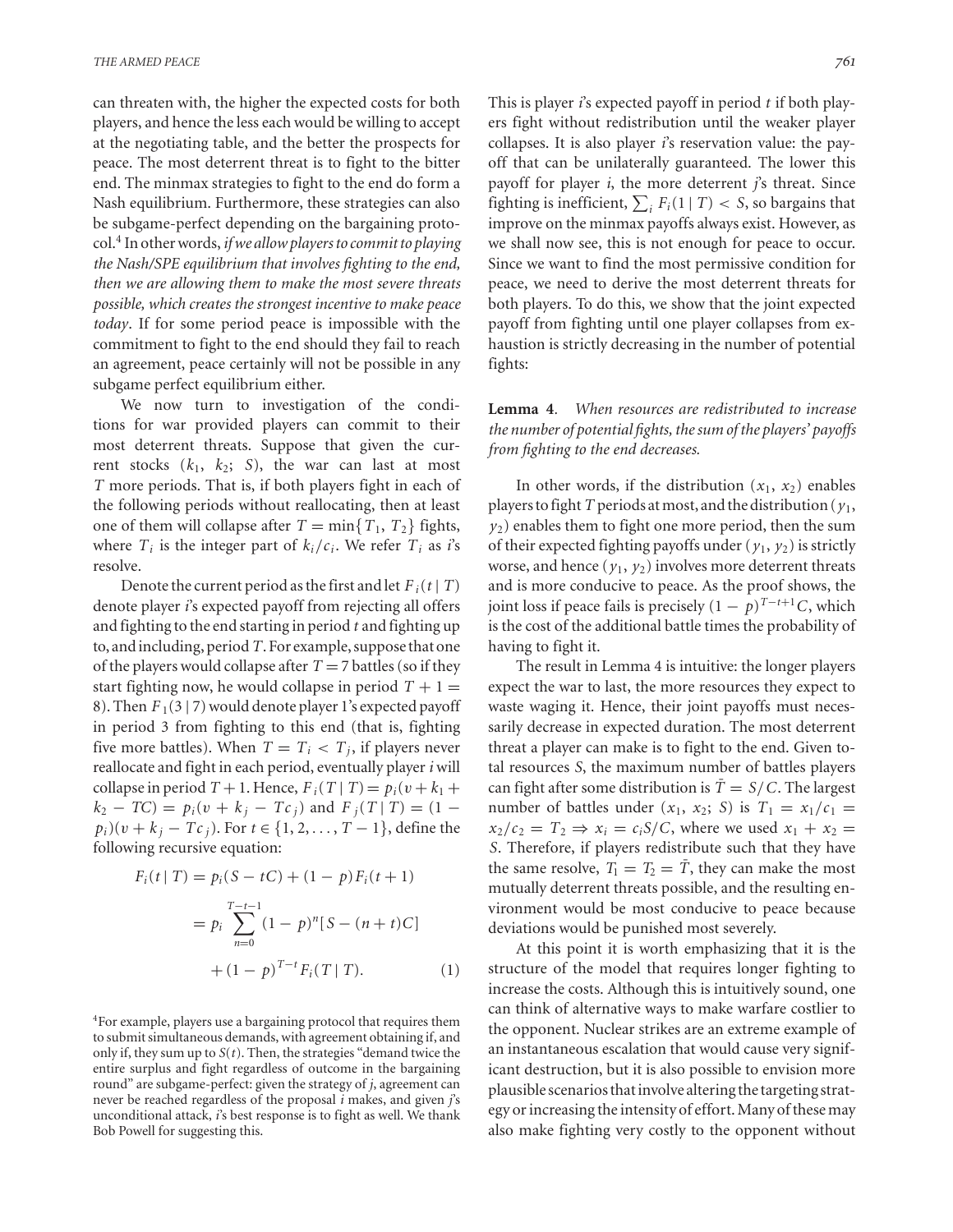can threaten with, the higher the expected costs for both players, and hence the less each would be willing to accept at the negotiating table, and the better the prospects for peace. The most deterrent threat is to fight to the bitter end. The minmax strategies to fight to the end do form a Nash equilibrium. Furthermore, these strategies can also be subgame-perfect depending on the bargaining protocol.<sup>4</sup> In other words,*if we allow players to commit to playing the Nash/SPE equilibrium that involves fighting to the end, then we are allowing them to make the most severe threats possible, which creates the strongest incentive to make peace today*. If for some period peace is impossible with the commitment to fight to the end should they fail to reach an agreement, peace certainly will not be possible in any subgame perfect equilibrium either.

We now turn to investigation of the conditions for war provided players can commit to their most deterrent threats. Suppose that given the current stocks  $(k_1, k_2; S)$ , the war can last at most *T* more periods. That is, if both players fight in each of the following periods without reallocating, then at least one of them will collapse after  $T = \min\{T_1, T_2\}$  fights, where  $T_i$  is the integer part of  $k_i/c_i$ . We refer  $T_i$  as  $i$ 's resolve.

Denote the current period as the first and let  $F_i(t | T)$ denote player *i*'s expected payoff from rejecting all offers and fighting to the end starting in period *t* and fighting up to, and including, period*T*. For example, suppose that one of the players would collapse after  $T = 7$  battles (so if they start fighting now, he would collapse in period  $T + 1 =$ 8). Then  $F_1(3 | 7)$  would denote player 1's expected payoff in period 3 from fighting to this end (that is, fighting five more battles). When  $T = T_i < T_j$ , if players never reallocate and fight in each period, eventually player *i* will collapse in period  $T + 1$ . Hence,  $F_i(T | T) = p_i(v + k_1 +$  $k_2 - TC$ ) =  $p_i(v + k_j - Tc_j)$  and  $F_j(T | T) = (1 - Tc_j)$  $p_i$ )( $v + k_j - Tc_j$ ). For  $t \in \{1, 2, ..., T - 1\}$ , define the following recursive equation:

$$
F_i(t | T) = p_i(S - tC) + (1 - p)F_i(t + 1)
$$
  
= 
$$
p_i \sum_{n=0}^{T-t-1} (1 - p)^n [S - (n + t)C]
$$
  
+ 
$$
(1 - p)^{T-t} F_i(T | T).
$$
 (1)

4For example, players use a bargaining protocol that requires them to submit simultaneous demands, with agreement obtaining if, and only if, they sum up to *S*(*t*). Then, the strategies "demand twice the entire surplus and fight regardless of outcome in the bargaining round" are subgame-perfect: given the strategy of *j*, agreement can never be reached regardless of the proposal *i* makes, and given *j*'s unconditional attack, *i*'s best response is to fight as well. We thank Bob Powell for suggesting this.

This is player *i*'s expected payoff in period *t* if both players fight without redistribution until the weaker player collapses. It is also player *i*'s reservation value: the payoff that can be unilaterally guaranteed. The lower this payoff for player *i*, the more deterrent *j*'s threat. Since fighting is inefficient,  $\sum_i F_i(1 | T) < S$ , so bargains that improve on the minmax payoffs always exist. However, as we shall now see, this is not enough for peace to occur. Since we want to find the most permissive condition for peace, we need to derive the most deterrent threats for both players. To do this, we show that the joint expected payoff from fighting until one player collapses from exhaustion is strictly decreasing in the number of potential fights:

#### **Lemma 4***. When resources are redistributed to increase the number of potential fights, the sum of the players' payoffs from fighting to the end decreases.*

In other words, if the distribution  $(x_1, x_2)$  enables players to fight*T* periods at most, and the distribution (*y*1,  $y_2$ ) enables them to fight one more period, then the sum of their expected fighting payoffs under  $(y_1, y_2)$  is strictly worse, and hence  $(y_1, y_2)$  involves more deterrent threats and is more conducive to peace. As the proof shows, the joint loss if peace fails is precisely  $(1 - p)^{T-t+1}C$ , which is the cost of the additional battle times the probability of having to fight it.

The result in Lemma 4 is intuitive: the longer players expect the war to last, the more resources they expect to waste waging it. Hence, their joint payoffs must necessarily decrease in expected duration. The most deterrent threat a player can make is to fight to the end. Given total resources *S*, the maximum number of battles players can fight after some distribution is  $\overline{T} = S/C$ . The largest number of battles under  $(x_1, x_2; S)$  is  $T_1 = x_1/c_1 =$  $x_2/c_2 = T_2 \Rightarrow x_i = c_i S/C$ , where we used  $x_1 + x_2 =$ *S*. Therefore, if players redistribute such that they have the same resolve,  $T_1 = T_2 = \overline{T}$ , they can make the most mutually deterrent threats possible, and the resulting environment would be most conducive to peace because deviations would be punished most severely.

At this point it is worth emphasizing that it is the structure of the model that requires longer fighting to increase the costs. Although this is intuitively sound, one can think of alternative ways to make warfare costlier to the opponent. Nuclear strikes are an extreme example of an instantaneous escalation that would cause very significant destruction, but it is also possible to envision more plausible scenarios that involve altering the targeting strategy or increasing the intensity of effort. Many of these may also make fighting very costly to the opponent without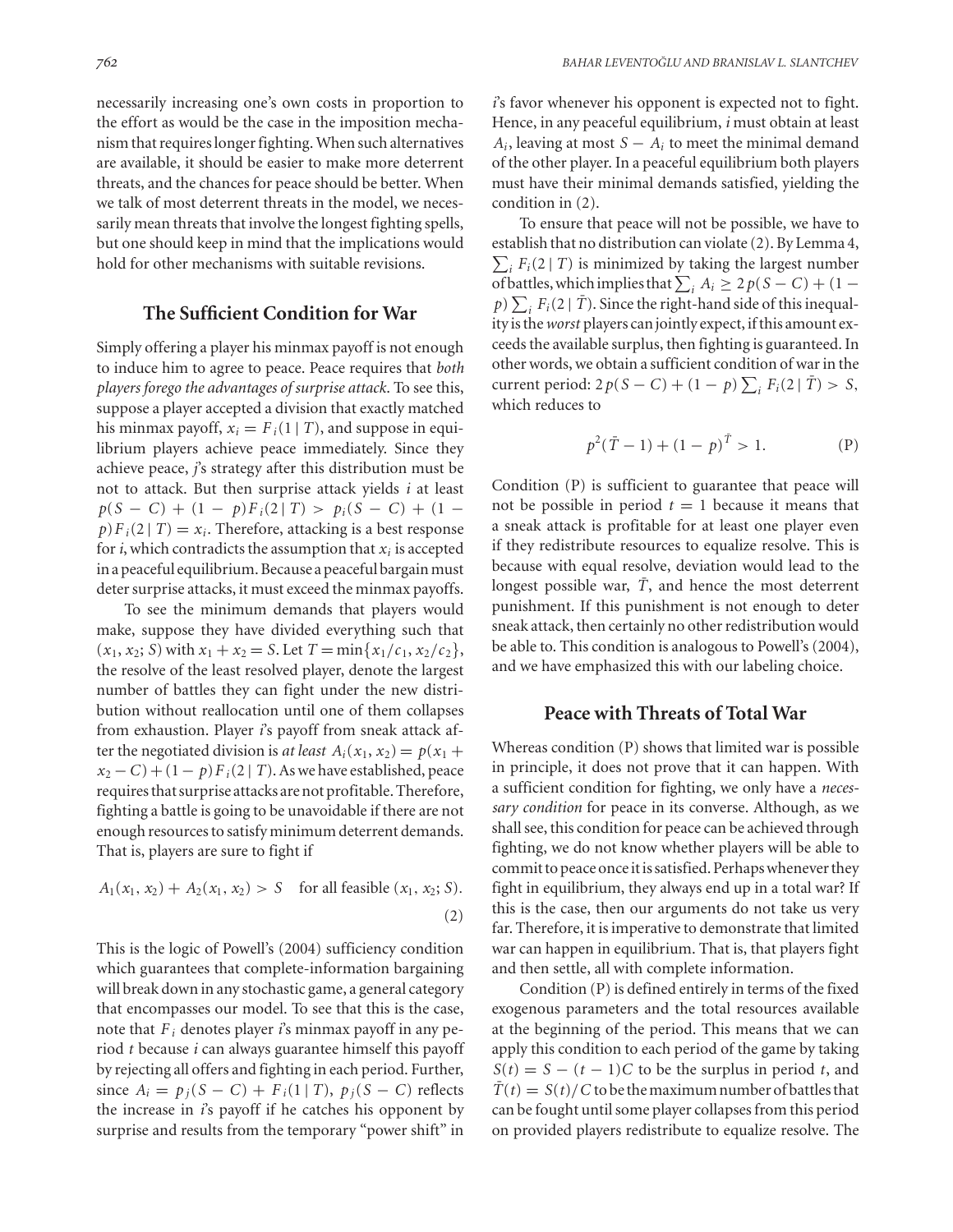necessarily increasing one's own costs in proportion to the effort as would be the case in the imposition mechanism that requires longer fighting. When such alternatives are available, it should be easier to make more deterrent threats, and the chances for peace should be better. When we talk of most deterrent threats in the model, we necessarily mean threats that involve the longest fighting spells, but one should keep in mind that the implications would hold for other mechanisms with suitable revisions.

#### **The Sufficient Condition for War**

Simply offering a player his minmax payoff is not enough to induce him to agree to peace. Peace requires that *both players forego the advantages of surprise attack*. To see this, suppose a player accepted a division that exactly matched his minmax payoff,  $x_i = F_i(1 | T)$ , and suppose in equilibrium players achieve peace immediately. Since they achieve peace, *j*'s strategy after this distribution must be not to attack. But then surprise attack yields *i* at least  $p(S - C) + (1 - p)F_i(2 | T) > p_i(S - C) + (1 - p)F_i(1 - T)$  $p$ )*F*  $_i$ (2 | *T*) =  $x_i$ . Therefore, attacking is a best response for *i*, which contradicts the assumption that  $x_i$  is accepted in a peaceful equilibrium. Because a peaceful bargain must deter surprise attacks, it must exceed the minmax payoffs.

To see the minimum demands that players would make, suppose they have divided everything such that  $(x_1, x_2; S)$  with  $x_1 + x_2 = S$ . Let  $T = \min\{x_1/c_1, x_2/c_2\}$ , the resolve of the least resolved player, denote the largest number of battles they can fight under the new distribution without reallocation until one of them collapses from exhaustion. Player *i*'s payoff from sneak attack after the negotiated division is *at least*  $A_i(x_1, x_2) = p(x_1 +$  $x_2 - C$ ) + (1 − *p*)  $F_i$ (2 | *T*). As we have established, peace requires that surprise attacks are not profitable. Therefore, fighting a battle is going to be unavoidable if there are not enough resources to satisfy minimum deterrent demands. That is, players are sure to fight if

$$
A_1(x_1, x_2) + A_2(x_1, x_2) > S \quad \text{for all feasible } (x_1, x_2; S).
$$
\n(2)

This is the logic of Powell's (2004) sufficiency condition which guarantees that complete-information bargaining will break down in any stochastic game, a general category that encompasses our model. To see that this is the case, note that  $F_i$  denotes player *i*'s minmax payoff in any period *t* because *i* can always guarantee himself this payoff by rejecting all offers and fighting in each period. Further, since  $A_i = p_i(S - C) + F_i(1 | T)$ ,  $p_i(S - C)$  reflects the increase in *i*'s payoff if he catches his opponent by surprise and results from the temporary "power shift" in

*i*'s favor whenever his opponent is expected not to fight. Hence, in any peaceful equilibrium, *i* must obtain at least *A<sub>i</sub>*, leaving at most  $S - A_i$  to meet the minimal demand of the other player. In a peaceful equilibrium both players must have their minimal demands satisfied, yielding the condition in (2).

To ensure that peace will not be possible, we have to establish that no distribution can violate (2). By Lemma 4,  $\sum_i F_i(2 | T)$  is minimized by taking the largest number of battles, which implies that  $\sum_i A_i \geq 2p(S - C) + (1$  $p) \sum_i F_i(2 | \bar{T})$ . Since the right-hand side of this inequality is the*worst* players can jointly expect, if this amount exceeds the available surplus, then fighting is guaranteed. In other words, we obtain a sufficient condition of war in the current period:  $2p(S - C) + (1 - p) \sum_i F_i(2 | \bar{T}) > S$ , which reduces to

$$
p^{2}(\bar{T} - 1) + (1 - p)^{\bar{T}} > 1.
$$
 (P)

Condition (P) is sufficient to guarantee that peace will not be possible in period  $t = 1$  because it means that a sneak attack is profitable for at least one player even if they redistribute resources to equalize resolve. This is because with equal resolve, deviation would lead to the longest possible war, *T*, and hence the most deterrent punishment. If this punishment is not enough to deter sneak attack, then certainly no other redistribution would be able to. This condition is analogous to Powell's (2004), and we have emphasized this with our labeling choice.

#### **Peace with Threats of Total War**

Whereas condition (P) shows that limited war is possible in principle, it does not prove that it can happen. With a sufficient condition for fighting, we only have a *necessary condition* for peace in its converse. Although, as we shall see, this condition for peace can be achieved through fighting, we do not know whether players will be able to commit to peace once it is satisfied. Perhaps whenever they fight in equilibrium, they always end up in a total war? If this is the case, then our arguments do not take us very far. Therefore, it is imperative to demonstrate that limited war can happen in equilibrium. That is, that players fight and then settle, all with complete information.

Condition (P) is defined entirely in terms of the fixed exogenous parameters and the total resources available at the beginning of the period. This means that we can apply this condition to each period of the game by taking  $S(t) = S - (t - 1)C$  to be the surplus in period *t*, and  $\overline{T}(t) = S(t)/C$  to be the maximum number of battles that can be fought until some player collapses from this period on provided players redistribute to equalize resolve. The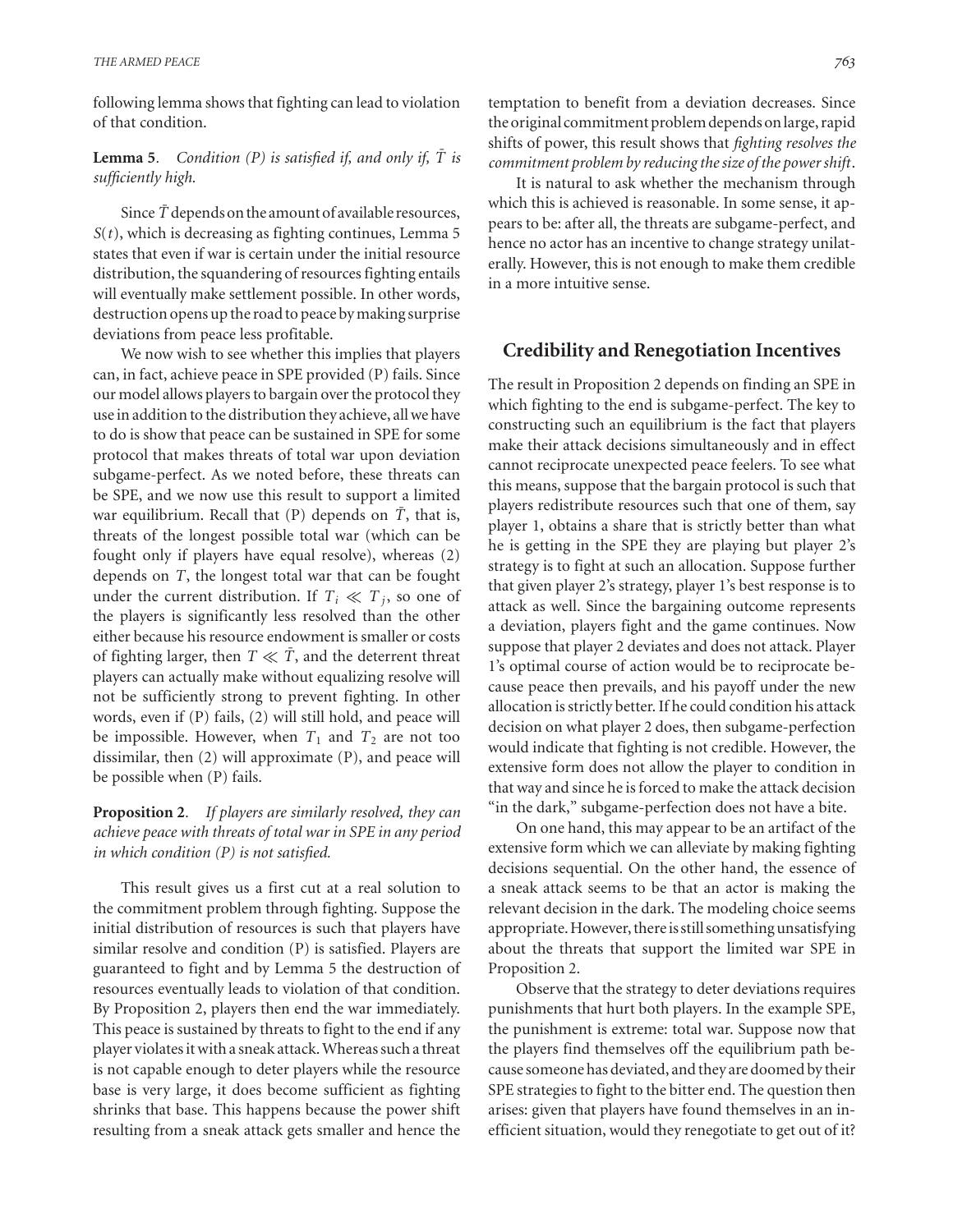following lemma shows that fighting can lead to violation of that condition.

**Lemma 5.** Condition (P) is satisfied if, and only if,  $\overline{T}$  is *sufficiently high.*

Since  $\bar{T}$  depends on the amount of available resources, *S*(*t*), which is decreasing as fighting continues, Lemma 5 states that even if war is certain under the initial resource distribution, the squandering of resources fighting entails will eventually make settlement possible. In other words, destruction opens up the road to peace by making surprise deviations from peace less profitable.

We now wish to see whether this implies that players can, in fact, achieve peace in SPE provided (P) fails. Since our model allows players to bargain over the protocol they use in addition to the distribution they achieve, all we have to do is show that peace can be sustained in SPE for some protocol that makes threats of total war upon deviation subgame-perfect. As we noted before, these threats can be SPE, and we now use this result to support a limited war equilibrium. Recall that (P) depends on  $\overline{T}$ , that is, threats of the longest possible total war (which can be fought only if players have equal resolve), whereas (2) depends on *T*, the longest total war that can be fought under the current distribution. If  $T_i \ll T_j$ , so one of the players is significantly less resolved than the other either because his resource endowment is smaller or costs of fighting larger, then  $T \ll \overline{T}$ , and the deterrent threat players can actually make without equalizing resolve will not be sufficiently strong to prevent fighting. In other words, even if (P) fails, (2) will still hold, and peace will be impossible. However, when  $T_1$  and  $T_2$  are not too dissimilar, then (2) will approximate (P), and peace will be possible when (P) fails.

#### **Proposition 2***. If players are similarly resolved, they can achieve peace with threats of total war in SPE in any period in which condition (P) is not satisfied.*

This result gives us a first cut at a real solution to the commitment problem through fighting. Suppose the initial distribution of resources is such that players have similar resolve and condition (P) is satisfied. Players are guaranteed to fight and by Lemma 5 the destruction of resources eventually leads to violation of that condition. By Proposition 2, players then end the war immediately. This peace is sustained by threats to fight to the end if any player violates it with a sneak attack. Whereas such a threat is not capable enough to deter players while the resource base is very large, it does become sufficient as fighting shrinks that base. This happens because the power shift resulting from a sneak attack gets smaller and hence the

temptation to benefit from a deviation decreases. Since the original commitment problem depends on large, rapid shifts of power, this result shows that *fighting resolves the commitment problem by reducing the size of the power shift*.

It is natural to ask whether the mechanism through which this is achieved is reasonable. In some sense, it appears to be: after all, the threats are subgame-perfect, and hence no actor has an incentive to change strategy unilaterally. However, this is not enough to make them credible in a more intuitive sense.

#### **Credibility and Renegotiation Incentives**

The result in Proposition 2 depends on finding an SPE in which fighting to the end is subgame-perfect. The key to constructing such an equilibrium is the fact that players make their attack decisions simultaneously and in effect cannot reciprocate unexpected peace feelers. To see what this means, suppose that the bargain protocol is such that players redistribute resources such that one of them, say player 1, obtains a share that is strictly better than what he is getting in the SPE they are playing but player 2's strategy is to fight at such an allocation. Suppose further that given player 2's strategy, player 1's best response is to attack as well. Since the bargaining outcome represents a deviation, players fight and the game continues. Now suppose that player 2 deviates and does not attack. Player 1's optimal course of action would be to reciprocate because peace then prevails, and his payoff under the new allocation is strictly better. If he could condition his attack decision on what player 2 does, then subgame-perfection would indicate that fighting is not credible. However, the extensive form does not allow the player to condition in that way and since he is forced to make the attack decision "in the dark," subgame-perfection does not have a bite.

On one hand, this may appear to be an artifact of the extensive form which we can alleviate by making fighting decisions sequential. On the other hand, the essence of a sneak attack seems to be that an actor is making the relevant decision in the dark. The modeling choice seems appropriate. However, there is still something unsatisfying about the threats that support the limited war SPE in Proposition 2.

Observe that the strategy to deter deviations requires punishments that hurt both players. In the example SPE, the punishment is extreme: total war. Suppose now that the players find themselves off the equilibrium path because someone has deviated, and they are doomed by their SPE strategies to fight to the bitter end. The question then arises: given that players have found themselves in an inefficient situation, would they renegotiate to get out of it?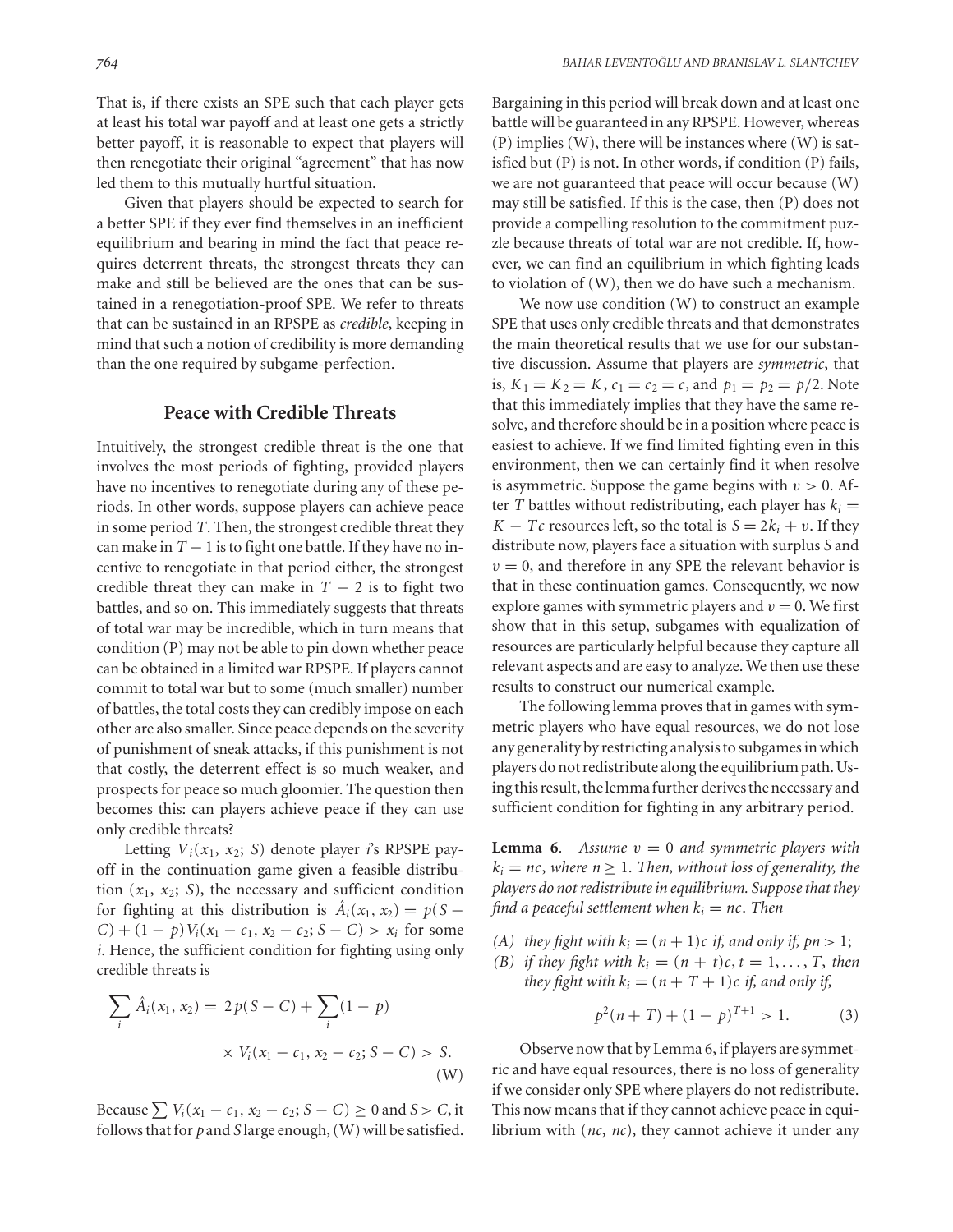That is, if there exists an SPE such that each player gets at least his total war payoff and at least one gets a strictly better payoff, it is reasonable to expect that players will then renegotiate their original "agreement" that has now led them to this mutually hurtful situation.

Given that players should be expected to search for a better SPE if they ever find themselves in an inefficient equilibrium and bearing in mind the fact that peace requires deterrent threats, the strongest threats they can make and still be believed are the ones that can be sustained in a renegotiation-proof SPE. We refer to threats that can be sustained in an RPSPE as *credible*, keeping in mind that such a notion of credibility is more demanding than the one required by subgame-perfection.

#### **Peace with Credible Threats**

Intuitively, the strongest credible threat is the one that involves the most periods of fighting, provided players have no incentives to renegotiate during any of these periods. In other words, suppose players can achieve peace in some period *T*. Then, the strongest credible threat they can make in  $T - 1$  is to fight one battle. If they have no incentive to renegotiate in that period either, the strongest credible threat they can make in  $T - 2$  is to fight two battles, and so on. This immediately suggests that threats of total war may be incredible, which in turn means that condition (P) may not be able to pin down whether peace can be obtained in a limited war RPSPE. If players cannot commit to total war but to some (much smaller) number of battles, the total costs they can credibly impose on each other are also smaller. Since peace depends on the severity of punishment of sneak attacks, if this punishment is not that costly, the deterrent effect is so much weaker, and prospects for peace so much gloomier. The question then becomes this: can players achieve peace if they can use only credible threats?

Letting  $V_i(x_1, x_2; S)$  denote player *i*'s RPSPE payoff in the continuation game given a feasible distribution  $(x_1, x_2; S)$ , the necessary and sufficient condition for fighting at this distribution is  $\hat{A}_i(x_1, x_2) = p(S C$ ) + (1 – *p*)  $V_i(x_1 - c_1, x_2 - c_2; S - C) > x_i$  for some *i*. Hence, the sufficient condition for fighting using only credible threats is

$$
\sum_{i} \hat{A}_{i}(x_{1}, x_{2}) = 2p(S - C) + \sum_{i} (1 - p)
$$
  
 
$$
\times V_{i}(x_{1} - c_{1}, x_{2} - c_{2}; S - C) > S.
$$
 (W)

Because  $\sum V_i(x_1 - c_1, x_2 - c_2; S - C) \ge 0$  and *S* > *C*, it follows that for *p* and *S* large enough, (W) will be satisfied.

Bargaining in this period will break down and at least one battle will be guaranteed in any RPSPE. However, whereas  $(P)$  implies  $(W)$ , there will be instances where  $(W)$  is satisfied but (P) is not. In other words, if condition (P) fails, we are not guaranteed that peace will occur because (W) may still be satisfied. If this is the case, then (P) does not provide a compelling resolution to the commitment puzzle because threats of total war are not credible. If, however, we can find an equilibrium in which fighting leads to violation of (W), then we do have such a mechanism.

We now use condition (W) to construct an example SPE that uses only credible threats and that demonstrates the main theoretical results that we use for our substantive discussion. Assume that players are *symmetric*, that is,  $K_1 = K_2 = K$ ,  $c_1 = c_2 = c$ , and  $p_1 = p_2 = p/2$ . Note that this immediately implies that they have the same resolve, and therefore should be in a position where peace is easiest to achieve. If we find limited fighting even in this environment, then we can certainly find it when resolve is asymmetric. Suppose the game begins with  $v > 0$ . After *T* battles without redistributing, each player has  $k_i =$ *K* − *Tc* resources left, so the total is  $S = 2k_i + v$ . If they distribute now, players face a situation with surplus *S* and  $v = 0$ , and therefore in any SPE the relevant behavior is that in these continuation games. Consequently, we now explore games with symmetric players and  $v = 0$ . We first show that in this setup, subgames with equalization of resources are particularly helpful because they capture all relevant aspects and are easy to analyze. We then use these results to construct our numerical example.

The following lemma proves that in games with symmetric players who have equal resources, we do not lose any generality by restricting analysis to subgames in which players do not redistribute along the equilibrium path. Using this result, the lemma further derives the necessary and sufficient condition for fighting in any arbitrary period.

**Lemma 6.** Assume  $v = 0$  and symmetric players with  $k_i = n_c$ , where  $n \geq 1$ . Then, without loss of generality, the *players do not redistribute in equilibrium. Suppose that they find a peaceful settlement when*  $k_i = nc$ . *Then* 

- *(A)* they fight with  $k_i = (n + 1)c$  if, and only if, pn > 1;
- *(B)* if they fight with  $k_i = (n + t)c$ ,  $t = 1, \ldots, T$ , then *they fight with*  $k_i = (n + T + 1)c$  *if, and only if,*

$$
p^{2}(n+T) + (1-p)^{T+1} > 1.
$$
 (3)

Observe now that by Lemma 6, if players are symmetric and have equal resources, there is no loss of generality if we consider only SPE where players do not redistribute. This now means that if they cannot achieve peace in equilibrium with (*nc*, *nc*), they cannot achieve it under any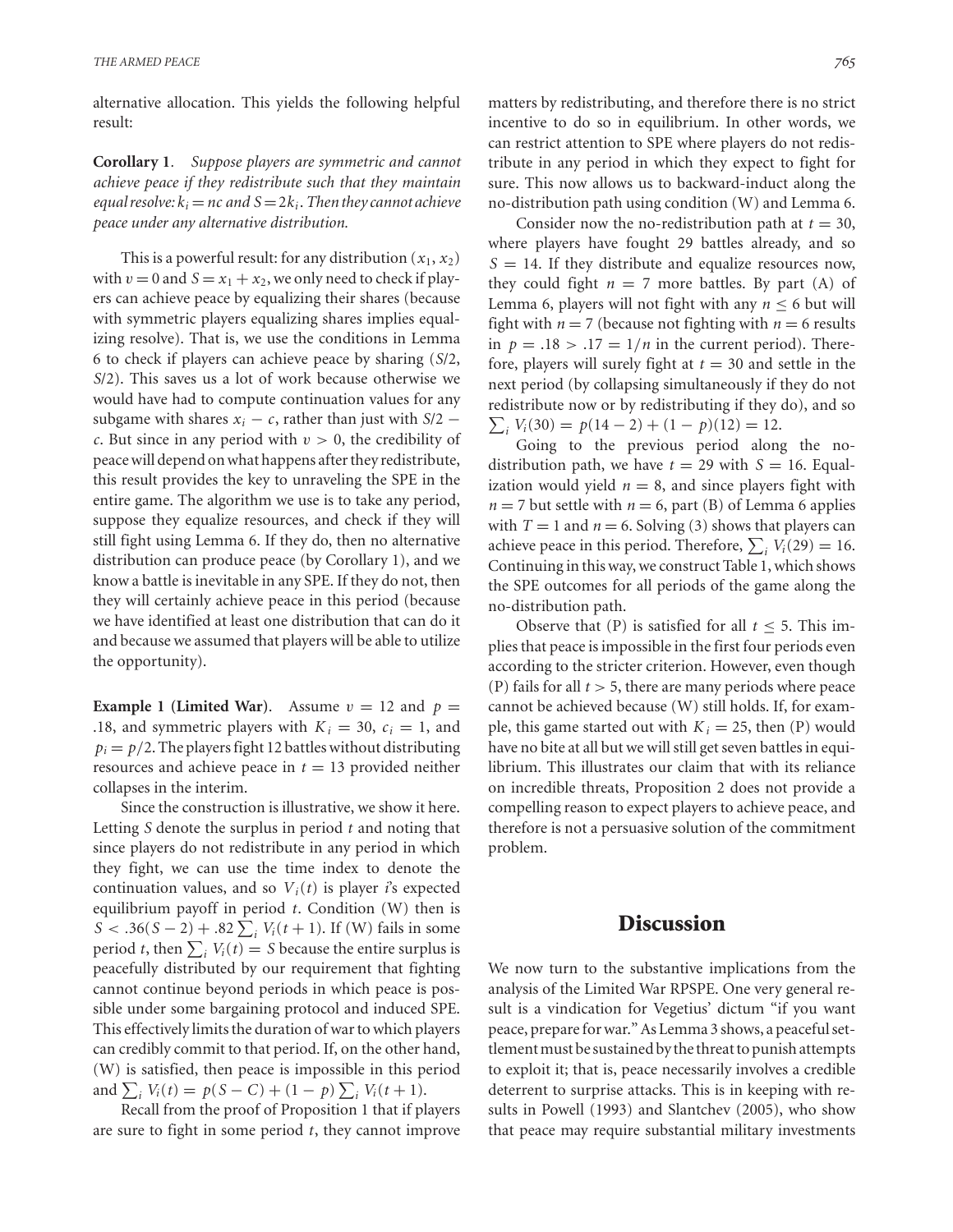alternative allocation. This yields the following helpful result:

**Corollary 1***. Suppose players are symmetric and cannot achieve peace if they redistribute such that they maintain equal resolve:*  $k_i$  = *nc and S* = 2 $k_i$ . *Then they cannot achieve peace under any alternative distribution.*

This is a powerful result: for any distribution  $(x_1, x_2)$ with  $v = 0$  and  $S = x_1 + x_2$ , we only need to check if players can achieve peace by equalizing their shares (because with symmetric players equalizing shares implies equalizing resolve). That is, we use the conditions in Lemma 6 to check if players can achieve peace by sharing (*S*/2, *S*/2). This saves us a lot of work because otherwise we would have had to compute continuation values for any subgame with shares  $x_i - c$ , rather than just with  $S/2 - c$ *c*. But since in any period with  $v > 0$ , the credibility of peace will depend on what happens after they redistribute, this result provides the key to unraveling the SPE in the entire game. The algorithm we use is to take any period, suppose they equalize resources, and check if they will still fight using Lemma 6. If they do, then no alternative distribution can produce peace (by Corollary 1), and we know a battle is inevitable in any SPE. If they do not, then they will certainly achieve peace in this period (because we have identified at least one distribution that can do it and because we assumed that players will be able to utilize the opportunity).

**Example 1 (Limited War).** Assume  $v = 12$  and  $p =$ .18, and symmetric players with  $K_i = 30$ ,  $c_i = 1$ , and  $p_i = p/2$ . The players fight 12 battles without distributing resources and achieve peace in  $t = 13$  provided neither collapses in the interim.

Since the construction is illustrative, we show it here. Letting *S* denote the surplus in period *t* and noting that since players do not redistribute in any period in which they fight, we can use the time index to denote the continuation values, and so  $V_i(t)$  is player *i*'s expected equilibrium payoff in period *t*. Condition (W) then is *S* < .36(*S* − 2) + .82  $\sum_i V_i(t + 1)$ . If (W) fails in some period *t*, then  $\sum_i V_i(t) = S$  because the entire surplus is peacefully distributed by our requirement that fighting cannot continue beyond periods in which peace is possible under some bargaining protocol and induced SPE. This effectively limits the duration of war to which players can credibly commit to that period. If, on the other hand, (W) is satisfied, then peace is impossible in this period and  $\sum_i V_i(t) = p(S - C) + (1 - p) \sum_i V_i(t + 1)$ .

Recall from the proof of Proposition 1 that if players are sure to fight in some period *t*, they cannot improve

matters by redistributing, and therefore there is no strict incentive to do so in equilibrium. In other words, we can restrict attention to SPE where players do not redistribute in any period in which they expect to fight for sure. This now allows us to backward-induct along the no-distribution path using condition (W) and Lemma 6.

Consider now the no-redistribution path at  $t = 30$ , where players have fought 29 battles already, and so  $S = 14$ . If they distribute and equalize resources now, they could fight  $n = 7$  more battles. By part (A) of Lemma 6, players will not fight with any  $n \leq 6$  but will fight with  $n = 7$  (because not fighting with  $n = 6$  results in  $p = .18 > .17 = 1/n$  in the current period). Therefore, players will surely fight at  $t = 30$  and settle in the next period (by collapsing simultaneously if they do not redistribute now or by redistributing if they do), and so  $\sum_i V_i(30) = p(14-2) + (1-p)(12) = 12.$ 

Going to the previous period along the nodistribution path, we have  $t = 29$  with  $S = 16$ . Equalization would yield  $n = 8$ , and since players fight with  $n = 7$  but settle with  $n = 6$ , part (B) of Lemma 6 applies with  $T = 1$  and  $n = 6$ . Solving (3) shows that players can achieve peace in this period. Therefore,  $\sum_i V_i(29) = 16$ . Continuing in this way, we construct Table 1, which shows the SPE outcomes for all periods of the game along the no-distribution path.

Observe that (P) is satisfied for all  $t \leq 5$ . This implies that peace is impossible in the first four periods even according to the stricter criterion. However, even though (P) fails for all  $t > 5$ , there are many periods where peace cannot be achieved because (W) still holds. If, for example, this game started out with  $K_i = 25$ , then (P) would have no bite at all but we will still get seven battles in equilibrium. This illustrates our claim that with its reliance on incredible threats, Proposition 2 does not provide a compelling reason to expect players to achieve peace, and therefore is not a persuasive solution of the commitment problem.

### **Discussion**

We now turn to the substantive implications from the analysis of the Limited War RPSPE. One very general result is a vindication for Vegetius' dictum "if you want peace, prepare for war."As Lemma 3 shows, a peaceful settlement must be sustained by the threat to punish attempts to exploit it; that is, peace necessarily involves a credible deterrent to surprise attacks. This is in keeping with results in Powell (1993) and Slantchev (2005), who show that peace may require substantial military investments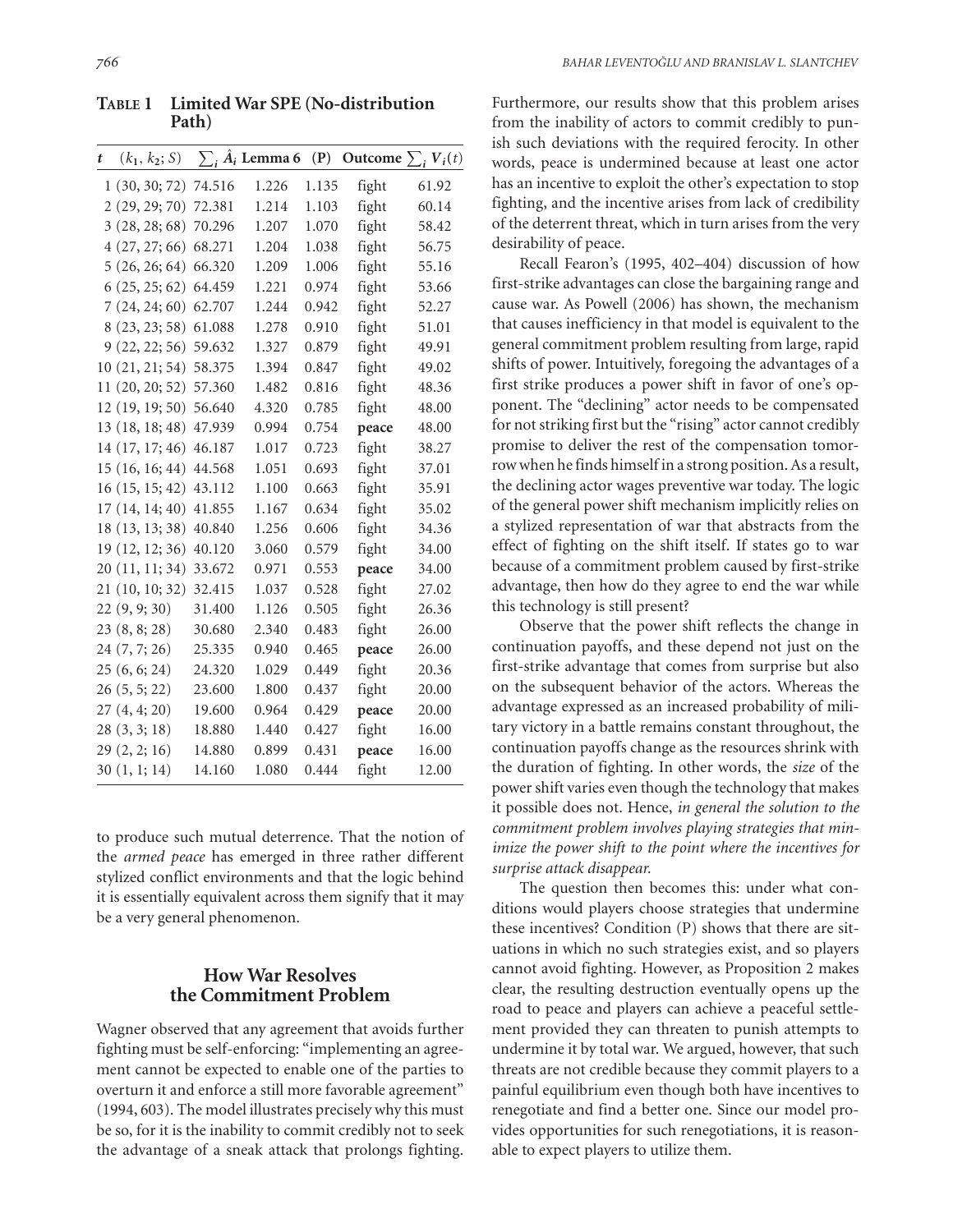| t | $(k_1, k_2; S)$ |        | $\sum_i \hat{A}_i$ Lemma 6 | (P)   | Outcome $\sum_i V_i(t)$ |       |
|---|-----------------|--------|----------------------------|-------|-------------------------|-------|
|   | 1(30, 30; 72)   | 74.516 | 1.226                      | 1.135 | fight                   | 61.92 |
|   | 2(29, 29; 70)   | 72.381 | 1.214                      | 1.103 | fight                   | 60.14 |
|   | 3(28, 28; 68)   | 70.296 | 1.207                      | 1.070 | fight                   | 58.42 |
|   | 4(27, 27; 66)   | 68.271 | 1.204                      | 1.038 | fight                   | 56.75 |
|   | 5(26, 26; 64)   | 66.320 | 1.209                      | 1.006 | fight                   | 55.16 |
|   | 6(25, 25; 62)   | 64.459 | 1.221                      | 0.974 | fight                   | 53.66 |
|   | 7(24, 24; 60)   | 62.707 | 1.244                      | 0.942 | fight                   | 52.27 |
|   | 8(23, 23; 58)   | 61.088 | 1.278                      | 0.910 | fight                   | 51.01 |
|   | 9(22, 22; 56)   | 59.632 | 1.327                      | 0.879 | fight                   | 49.91 |
|   | 10 (21, 21; 54) | 58.375 | 1.394                      | 0.847 | fight                   | 49.02 |
|   | 11 (20, 20; 52) | 57.360 | 1.482                      | 0.816 | fight                   | 48.36 |
|   | 12(19, 19; 50)  | 56.640 | 4.320                      | 0.785 | fight                   | 48.00 |
|   | 13 (18, 18; 48) | 47.939 | 0.994                      | 0.754 | peace                   | 48.00 |
|   | 14 (17, 17; 46) | 46.187 | 1.017                      | 0.723 | fight                   | 38.27 |
|   | 15(16, 16; 44)  | 44.568 | 1.051                      | 0.693 | fight                   | 37.01 |
|   | 16(15, 15; 42)  | 43.112 | 1.100                      | 0.663 | fight                   | 35.91 |
|   | 17(14, 14; 40)  | 41.855 | 1.167                      | 0.634 | fight                   | 35.02 |
|   | 18 (13, 13; 38) | 40.840 | 1.256                      | 0.606 | fight                   | 34.36 |
|   | 19 (12, 12; 36) | 40.120 | 3.060                      | 0.579 | fight                   | 34.00 |
|   | 20 (11, 11; 34) | 33.672 | 0.971                      | 0.553 | peace                   | 34.00 |
|   | 21 (10, 10; 32) | 32.415 | 1.037                      | 0.528 | fight                   | 27.02 |
|   | 22(9, 9; 30)    | 31.400 | 1.126                      | 0.505 | fight                   | 26.36 |
|   | 23(8, 8; 28)    | 30.680 | 2.340                      | 0.483 | fight                   | 26.00 |
|   | 24 (7, 7; 26)   | 25.335 | 0.940                      | 0.465 | peace                   | 26.00 |
|   | 25(6, 6; 24)    | 24.320 | 1.029                      | 0.449 | fight                   | 20.36 |
|   | 26(5, 5; 22)    | 23.600 | 1.800                      | 0.437 | fight                   | 20.00 |
|   | 27 (4, 4; 20)   | 19.600 | 0.964                      | 0.429 | peace                   | 20.00 |
|   | 28(3, 3; 18)    | 18.880 | 1.440                      | 0.427 | fight                   | 16.00 |
|   | 29(2, 2; 16)    | 14.880 | 0.899                      | 0.431 | peace                   | 16.00 |
|   | 30(1, 1; 14)    | 14.160 | 1.080                      | 0.444 | fight                   | 12.00 |

**TABLE 1 Limited War SPE (No-distribution Path)**

to produce such mutual deterrence. That the notion of the *armed peace* has emerged in three rather different stylized conflict environments and that the logic behind it is essentially equivalent across them signify that it may be a very general phenomenon.

## **How War Resolves the Commitment Problem**

Wagner observed that any agreement that avoids further fighting must be self-enforcing: "implementing an agreement cannot be expected to enable one of the parties to overturn it and enforce a still more favorable agreement" (1994, 603). The model illustrates precisely why this must be so, for it is the inability to commit credibly not to seek the advantage of a sneak attack that prolongs fighting.

Furthermore, our results show that this problem arises from the inability of actors to commit credibly to punish such deviations with the required ferocity. In other words, peace is undermined because at least one actor has an incentive to exploit the other's expectation to stop fighting, and the incentive arises from lack of credibility of the deterrent threat, which in turn arises from the very desirability of peace.

Recall Fearon's (1995, 402–404) discussion of how first-strike advantages can close the bargaining range and cause war. As Powell (2006) has shown, the mechanism that causes inefficiency in that model is equivalent to the general commitment problem resulting from large, rapid shifts of power. Intuitively, foregoing the advantages of a first strike produces a power shift in favor of one's opponent. The "declining" actor needs to be compensated for not striking first but the "rising" actor cannot credibly promise to deliver the rest of the compensation tomorrow when he finds himself in a strong position. As a result, the declining actor wages preventive war today. The logic of the general power shift mechanism implicitly relies on a stylized representation of war that abstracts from the effect of fighting on the shift itself. If states go to war because of a commitment problem caused by first-strike advantage, then how do they agree to end the war while this technology is still present?

Observe that the power shift reflects the change in continuation payoffs, and these depend not just on the first-strike advantage that comes from surprise but also on the subsequent behavior of the actors. Whereas the advantage expressed as an increased probability of military victory in a battle remains constant throughout, the continuation payoffs change as the resources shrink with the duration of fighting. In other words, the *size* of the power shift varies even though the technology that makes it possible does not. Hence, *in general the solution to the commitment problem involves playing strategies that minimize the power shift to the point where the incentives for surprise attack disappear.*

The question then becomes this: under what conditions would players choose strategies that undermine these incentives? Condition (P) shows that there are situations in which no such strategies exist, and so players cannot avoid fighting. However, as Proposition 2 makes clear, the resulting destruction eventually opens up the road to peace and players can achieve a peaceful settlement provided they can threaten to punish attempts to undermine it by total war. We argued, however, that such threats are not credible because they commit players to a painful equilibrium even though both have incentives to renegotiate and find a better one. Since our model provides opportunities for such renegotiations, it is reasonable to expect players to utilize them.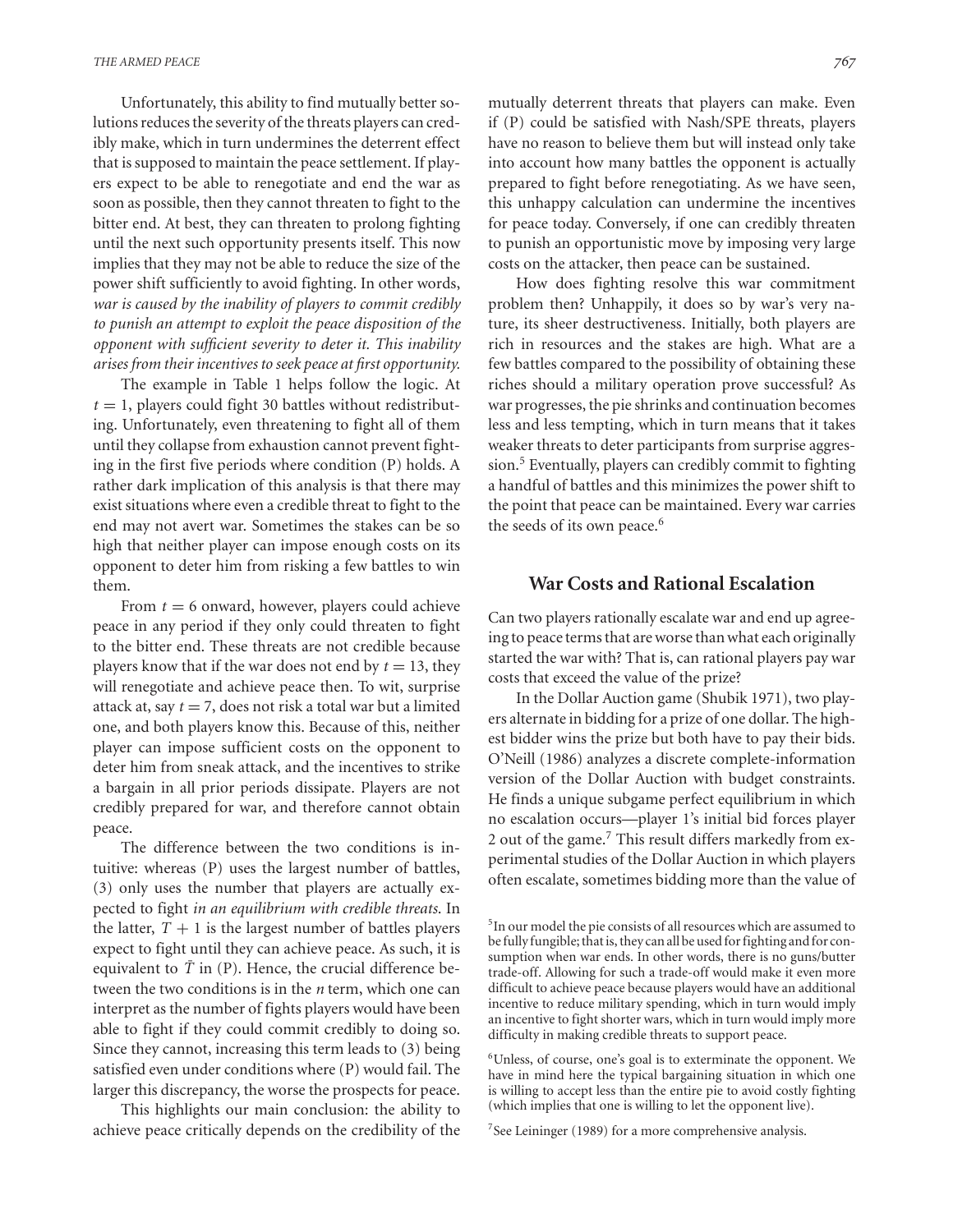Unfortunately, this ability to find mutually better solutions reduces the severity of the threats players can credibly make, which in turn undermines the deterrent effect that is supposed to maintain the peace settlement. If players expect to be able to renegotiate and end the war as soon as possible, then they cannot threaten to fight to the bitter end. At best, they can threaten to prolong fighting until the next such opportunity presents itself. This now implies that they may not be able to reduce the size of the power shift sufficiently to avoid fighting. In other words, *war is caused by the inability of players to commit credibly to punish an attempt to exploit the peace disposition of the opponent with sufficient severity to deter it. This inability arises from their incentives to seek peace at first opportunity.*

The example in Table 1 helps follow the logic. At  $t = 1$ , players could fight 30 battles without redistributing. Unfortunately, even threatening to fight all of them until they collapse from exhaustion cannot prevent fighting in the first five periods where condition (P) holds. A rather dark implication of this analysis is that there may exist situations where even a credible threat to fight to the end may not avert war. Sometimes the stakes can be so high that neither player can impose enough costs on its opponent to deter him from risking a few battles to win them.

From  $t = 6$  onward, however, players could achieve peace in any period if they only could threaten to fight to the bitter end. These threats are not credible because players know that if the war does not end by  $t = 13$ , they will renegotiate and achieve peace then. To wit, surprise attack at, say  $t = 7$ , does not risk a total war but a limited one, and both players know this. Because of this, neither player can impose sufficient costs on the opponent to deter him from sneak attack, and the incentives to strike a bargain in all prior periods dissipate. Players are not credibly prepared for war, and therefore cannot obtain peace.

The difference between the two conditions is intuitive: whereas (P) uses the largest number of battles, (3) only uses the number that players are actually expected to fight *in an equilibrium with credible threats*. In the latter,  $T + 1$  is the largest number of battles players expect to fight until they can achieve peace. As such, it is equivalent to  $\bar{T}$  in (P). Hence, the crucial difference between the two conditions is in the *n* term, which one can interpret as the number of fights players would have been able to fight if they could commit credibly to doing so. Since they cannot, increasing this term leads to (3) being satisfied even under conditions where (P) would fail. The larger this discrepancy, the worse the prospects for peace.

This highlights our main conclusion: the ability to achieve peace critically depends on the credibility of the

mutually deterrent threats that players can make. Even if (P) could be satisfied with Nash/SPE threats, players have no reason to believe them but will instead only take into account how many battles the opponent is actually prepared to fight before renegotiating. As we have seen, this unhappy calculation can undermine the incentives for peace today. Conversely, if one can credibly threaten to punish an opportunistic move by imposing very large costs on the attacker, then peace can be sustained.

How does fighting resolve this war commitment problem then? Unhappily, it does so by war's very nature, its sheer destructiveness. Initially, both players are rich in resources and the stakes are high. What are a few battles compared to the possibility of obtaining these riches should a military operation prove successful? As war progresses, the pie shrinks and continuation becomes less and less tempting, which in turn means that it takes weaker threats to deter participants from surprise aggression.<sup>5</sup> Eventually, players can credibly commit to fighting a handful of battles and this minimizes the power shift to the point that peace can be maintained. Every war carries the seeds of its own peace.<sup>6</sup>

#### **War Costs and Rational Escalation**

Can two players rationally escalate war and end up agreeing to peace terms that are worse than what each originally started the war with? That is, can rational players pay war costs that exceed the value of the prize?

In the Dollar Auction game (Shubik 1971), two players alternate in bidding for a prize of one dollar. The highest bidder wins the prize but both have to pay their bids. O'Neill (1986) analyzes a discrete complete-information version of the Dollar Auction with budget constraints. He finds a unique subgame perfect equilibrium in which no escalation occurs—player 1's initial bid forces player 2 out of the game.<sup>7</sup> This result differs markedly from experimental studies of the Dollar Auction in which players often escalate, sometimes bidding more than the value of

<sup>7</sup>See Leininger (1989) for a more comprehensive analysis.

<sup>5</sup>In our model the pie consists of all resources which are assumed to be fully fungible; that is, they can all be used for fighting and for consumption when war ends. In other words, there is no guns/butter trade-off. Allowing for such a trade-off would make it even more difficult to achieve peace because players would have an additional incentive to reduce military spending, which in turn would imply an incentive to fight shorter wars, which in turn would imply more difficulty in making credible threats to support peace.

<sup>6</sup>Unless, of course, one's goal is to exterminate the opponent. We have in mind here the typical bargaining situation in which one is willing to accept less than the entire pie to avoid costly fighting (which implies that one is willing to let the opponent live).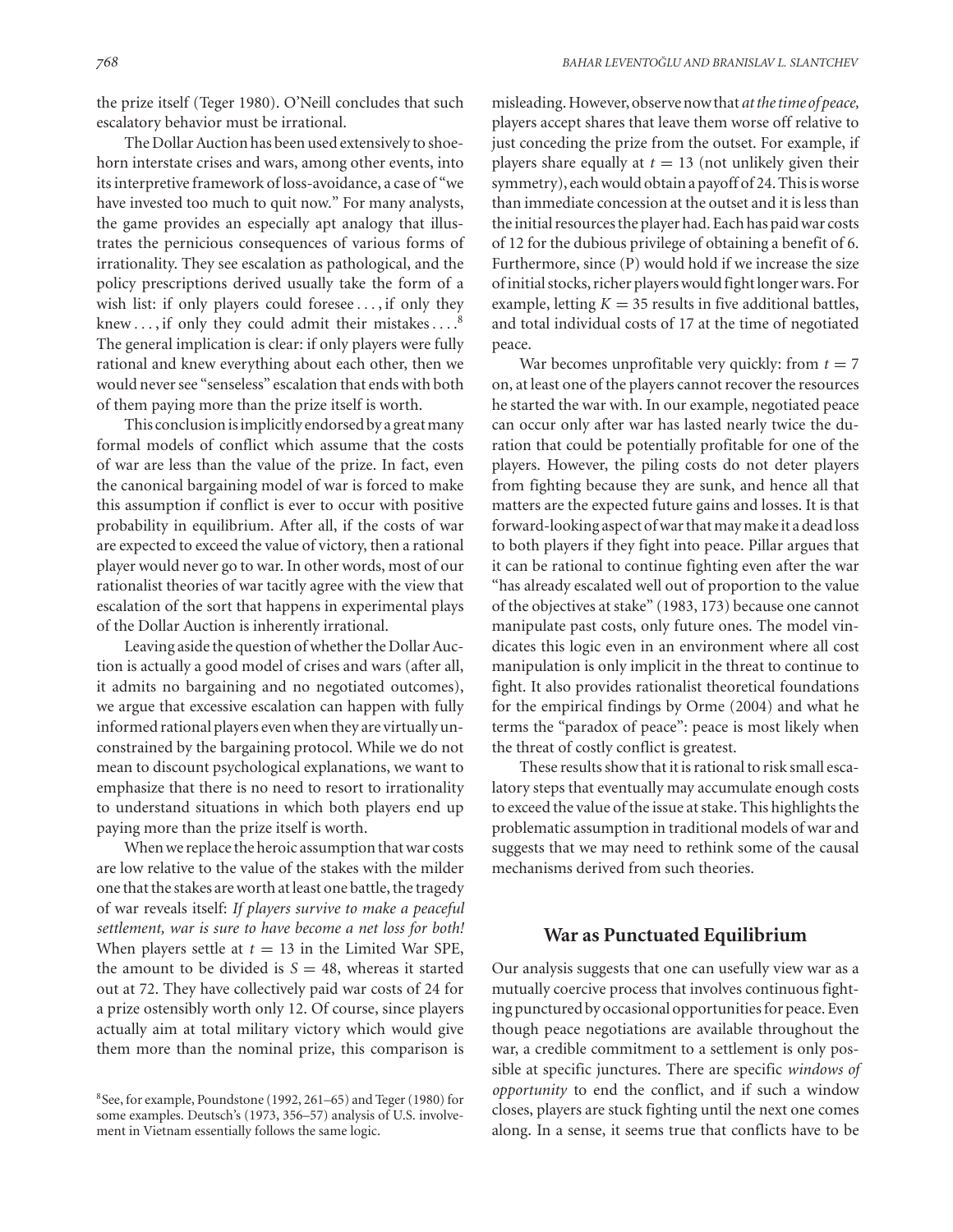the prize itself (Teger 1980). O'Neill concludes that such escalatory behavior must be irrational.

The Dollar Auction has been used extensively to shoehorn interstate crises and wars, among other events, into its interpretive framework of loss-avoidance, a case of "we have invested too much to quit now." For many analysts, the game provides an especially apt analogy that illustrates the pernicious consequences of various forms of irrationality. They see escalation as pathological, and the policy prescriptions derived usually take the form of a wish list: if only players could foresee ... , if only they knew..., if only they could admit their mistakes....<sup>8</sup> The general implication is clear: if only players were fully rational and knew everything about each other, then we would never see "senseless" escalation that ends with both of them paying more than the prize itself is worth.

This conclusion is implicitly endorsed by a great many formal models of conflict which assume that the costs of war are less than the value of the prize. In fact, even the canonical bargaining model of war is forced to make this assumption if conflict is ever to occur with positive probability in equilibrium. After all, if the costs of war are expected to exceed the value of victory, then a rational player would never go to war. In other words, most of our rationalist theories of war tacitly agree with the view that escalation of the sort that happens in experimental plays of the Dollar Auction is inherently irrational.

Leaving aside the question of whether the Dollar Auction is actually a good model of crises and wars (after all, it admits no bargaining and no negotiated outcomes), we argue that excessive escalation can happen with fully informed rational players even when they are virtually unconstrained by the bargaining protocol. While we do not mean to discount psychological explanations, we want to emphasize that there is no need to resort to irrationality to understand situations in which both players end up paying more than the prize itself is worth.

When we replace the heroic assumption that war costs are low relative to the value of the stakes with the milder one that the stakes are worth at least one battle, the tragedy of war reveals itself: *If players survive to make a peaceful settlement, war is sure to have become a net loss for both!* When players settle at  $t = 13$  in the Limited War SPE, the amount to be divided is  $S = 48$ , whereas it started out at 72. They have collectively paid war costs of 24 for a prize ostensibly worth only 12. Of course, since players actually aim at total military victory which would give them more than the nominal prize, this comparison is

misleading. However, observe now that *at the time of peace,* players accept shares that leave them worse off relative to just conceding the prize from the outset. For example, if players share equally at  $t = 13$  (not unlikely given their symmetry), each would obtain a payoff of 24. This is worse than immediate concession at the outset and it is less than the initial resources the player had. Each has paid war costs of 12 for the dubious privilege of obtaining a benefit of 6. Furthermore, since (P) would hold if we increase the size of initial stocks, richer players would fight longer wars. For example, letting  $K = 35$  results in five additional battles, and total individual costs of 17 at the time of negotiated peace.

War becomes unprofitable very quickly: from  $t = 7$ on, at least one of the players cannot recover the resources he started the war with. In our example, negotiated peace can occur only after war has lasted nearly twice the duration that could be potentially profitable for one of the players. However, the piling costs do not deter players from fighting because they are sunk, and hence all that matters are the expected future gains and losses. It is that forward-looking aspect of war that may make it a dead loss to both players if they fight into peace. Pillar argues that it can be rational to continue fighting even after the war "has already escalated well out of proportion to the value of the objectives at stake" (1983, 173) because one cannot manipulate past costs, only future ones. The model vindicates this logic even in an environment where all cost manipulation is only implicit in the threat to continue to fight. It also provides rationalist theoretical foundations for the empirical findings by Orme (2004) and what he terms the "paradox of peace": peace is most likely when the threat of costly conflict is greatest.

These results show that it is rational to risk small escalatory steps that eventually may accumulate enough costs to exceed the value of the issue at stake. This highlights the problematic assumption in traditional models of war and suggests that we may need to rethink some of the causal mechanisms derived from such theories.

#### **War as Punctuated Equilibrium**

Our analysis suggests that one can usefully view war as a mutually coercive process that involves continuous fighting punctured by occasional opportunities for peace. Even though peace negotiations are available throughout the war, a credible commitment to a settlement is only possible at specific junctures. There are specific *windows of opportunity* to end the conflict, and if such a window closes, players are stuck fighting until the next one comes along. In a sense, it seems true that conflicts have to be

<sup>8</sup>See, for example, Poundstone (1992, 261–65) and Teger (1980) for some examples. Deutsch's (1973, 356–57) analysis of U.S. involvement in Vietnam essentially follows the same logic.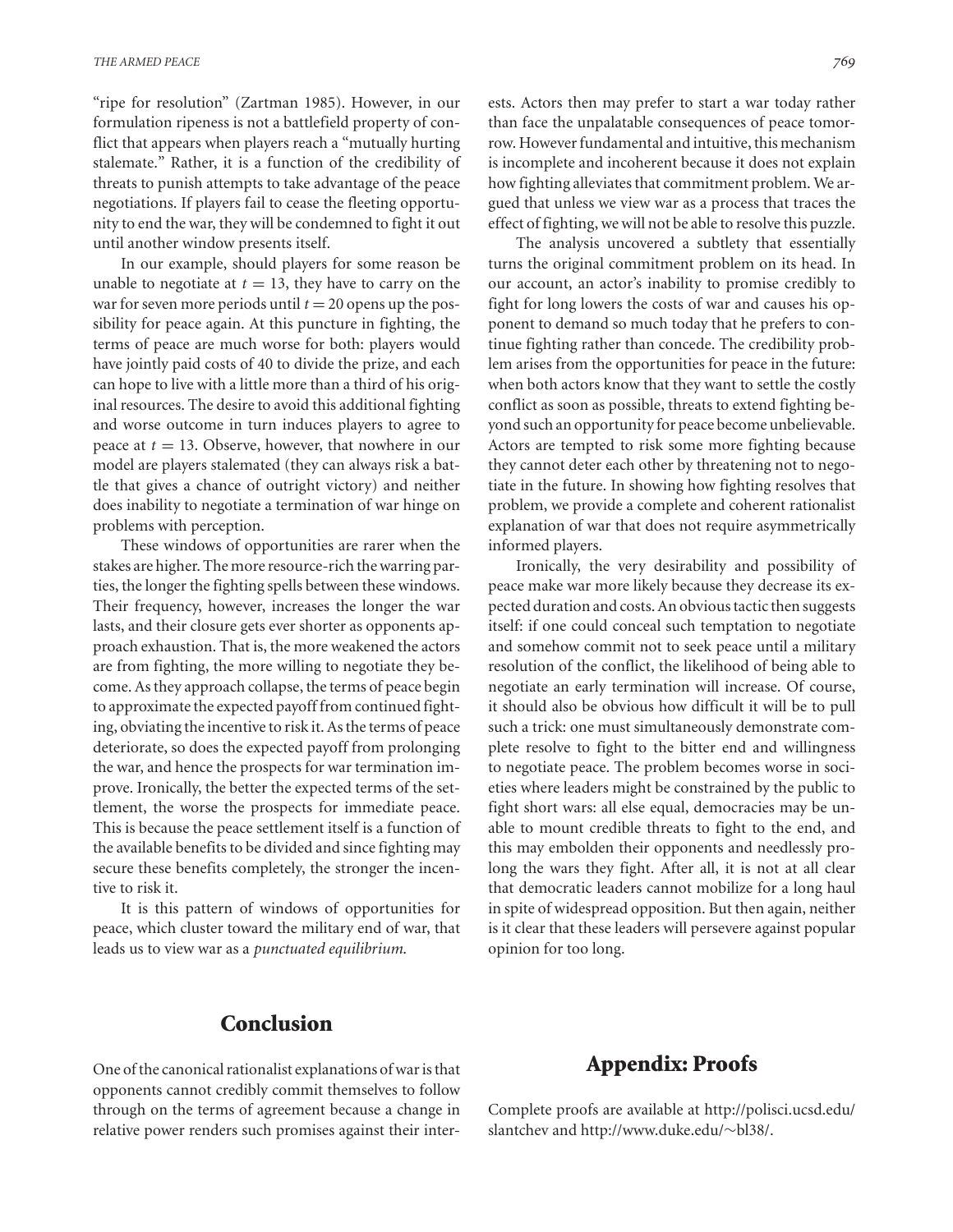"ripe for resolution" (Zartman 1985). However, in our formulation ripeness is not a battlefield property of conflict that appears when players reach a "mutually hurting stalemate." Rather, it is a function of the credibility of threats to punish attempts to take advantage of the peace negotiations. If players fail to cease the fleeting opportunity to end the war, they will be condemned to fight it out until another window presents itself.

In our example, should players for some reason be unable to negotiate at  $t = 13$ , they have to carry on the war for seven more periods until  $t = 20$  opens up the possibility for peace again. At this puncture in fighting, the terms of peace are much worse for both: players would have jointly paid costs of 40 to divide the prize, and each can hope to live with a little more than a third of his original resources. The desire to avoid this additional fighting and worse outcome in turn induces players to agree to peace at  $t = 13$ . Observe, however, that nowhere in our model are players stalemated (they can always risk a battle that gives a chance of outright victory) and neither does inability to negotiate a termination of war hinge on problems with perception.

These windows of opportunities are rarer when the stakes are higher. The more resource-rich the warring parties, the longer the fighting spells between these windows. Their frequency, however, increases the longer the war lasts, and their closure gets ever shorter as opponents approach exhaustion. That is, the more weakened the actors are from fighting, the more willing to negotiate they become. As they approach collapse, the terms of peace begin to approximate the expected payoff from continued fighting, obviating the incentive to risk it. As the terms of peace deteriorate, so does the expected payoff from prolonging the war, and hence the prospects for war termination improve. Ironically, the better the expected terms of the settlement, the worse the prospects for immediate peace. This is because the peace settlement itself is a function of the available benefits to be divided and since fighting may secure these benefits completely, the stronger the incentive to risk it.

It is this pattern of windows of opportunities for peace, which cluster toward the military end of war, that leads us to view war as a *punctuated equilibrium*.

ests. Actors then may prefer to start a war today rather than face the unpalatable consequences of peace tomorrow. However fundamental and intuitive, this mechanism is incomplete and incoherent because it does not explain how fighting alleviates that commitment problem. We argued that unless we view war as a process that traces the effect of fighting, we will not be able to resolve this puzzle.

The analysis uncovered a subtlety that essentially turns the original commitment problem on its head. In our account, an actor's inability to promise credibly to fight for long lowers the costs of war and causes his opponent to demand so much today that he prefers to continue fighting rather than concede. The credibility problem arises from the opportunities for peace in the future: when both actors know that they want to settle the costly conflict as soon as possible, threats to extend fighting beyond such an opportunity for peace become unbelievable. Actors are tempted to risk some more fighting because they cannot deter each other by threatening not to negotiate in the future. In showing how fighting resolves that problem, we provide a complete and coherent rationalist explanation of war that does not require asymmetrically informed players.

Ironically, the very desirability and possibility of peace make war more likely because they decrease its expected duration and costs. An obvious tactic then suggests itself: if one could conceal such temptation to negotiate and somehow commit not to seek peace until a military resolution of the conflict, the likelihood of being able to negotiate an early termination will increase. Of course, it should also be obvious how difficult it will be to pull such a trick: one must simultaneously demonstrate complete resolve to fight to the bitter end and willingness to negotiate peace. The problem becomes worse in societies where leaders might be constrained by the public to fight short wars: all else equal, democracies may be unable to mount credible threats to fight to the end, and this may embolden their opponents and needlessly prolong the wars they fight. After all, it is not at all clear that democratic leaders cannot mobilize for a long haul in spite of widespread opposition. But then again, neither is it clear that these leaders will persevere against popular opinion for too long.

## **Conclusion**

One of the canonical rationalist explanations of war is that opponents cannot credibly commit themselves to follow through on the terms of agreement because a change in relative power renders such promises against their inter-

## **Appendix: Proofs**

Complete proofs are available at http://polisci.ucsd.edu/ slantchev and http://www.duke.edu/∼bl38/.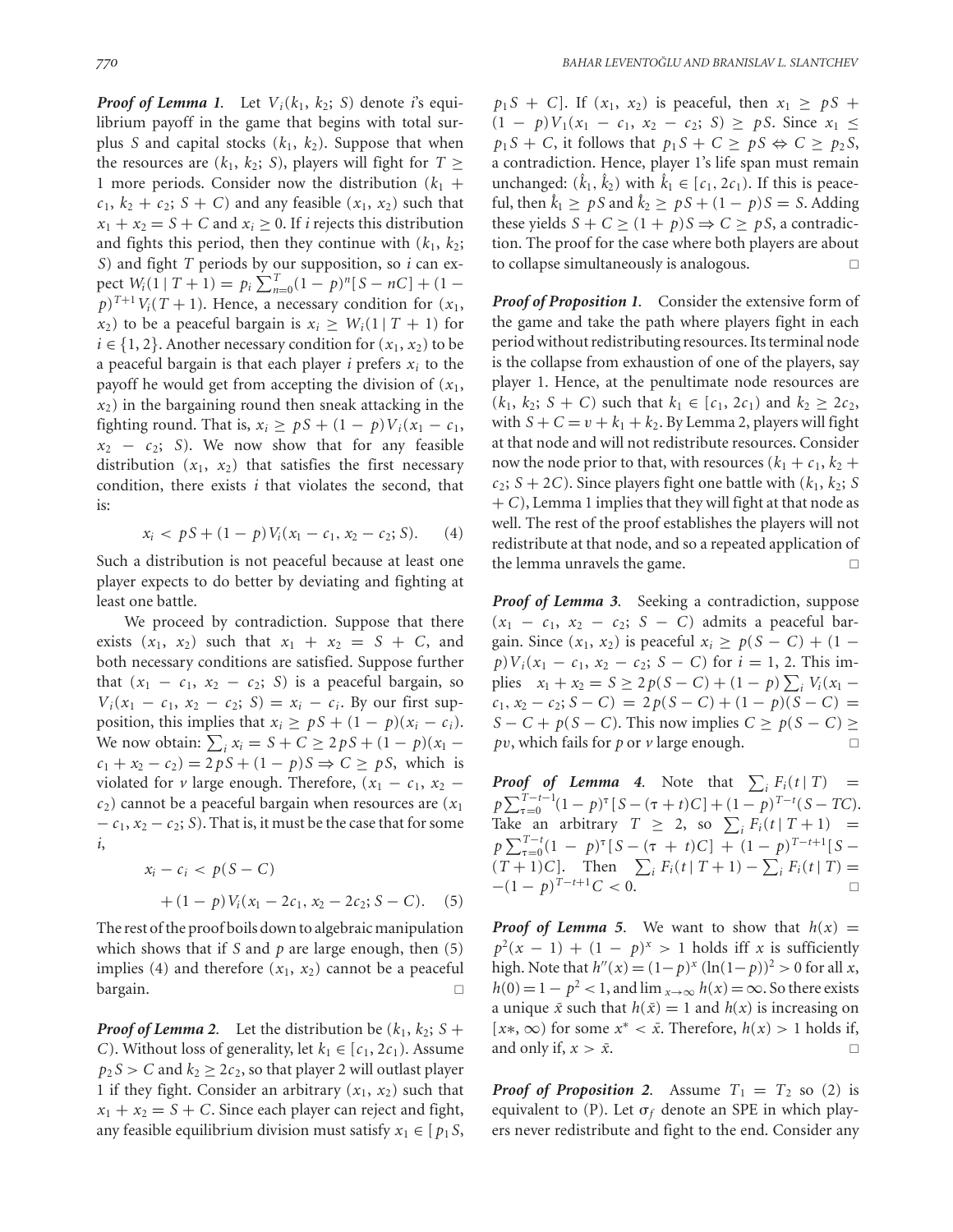*Proof of Lemma 1.* Let  $V_i(k_1, k_2; S)$  denote *i*'s equilibrium payoff in the game that begins with total surplus *S* and capital stocks  $(k_1, k_2)$ . Suppose that when the resources are  $(k_1, k_2; S)$ , players will fight for  $T \geq$ 1 more periods. Consider now the distribution  $(k_1 +$  $c_1$ ,  $k_2 + c_2$ ;  $S + C$ ) and any feasible  $(x_1, x_2)$  such that  $x_1 + x_2 = S + C$  and  $x_i \ge 0$ . If *i* rejects this distribution and fights this period, then they continue with  $(k_1, k_2;$ *S*) and fight *T* periods by our supposition, so *i* can expect  $W_i(1 | T + 1) = p_i \sum_{n=0}^{T} (1 - p)^n [S - nC] + (1$  $p^{T+1}V_i(T+1)$ . Hence, a necessary condition for  $(x_1,$ *x*<sub>2</sub>) to be a peaceful bargain is  $x_i \geq W_i(1 | T + 1)$  for  $i \in \{1, 2\}$ . Another necessary condition for  $(x_1, x_2)$  to be a peaceful bargain is that each player  $i$  prefers  $x_i$  to the payoff he would get from accepting the division of  $(x_1, x_2)$  $x_2$ ) in the bargaining round then sneak attacking in the fighting round. That is,  $x_i \geq pS + (1 - p)V_i(x_1 - c_1)$ ,  $x_2 - c_2$ ; *S*). We now show that for any feasible distribution  $(x_1, x_2)$  that satisfies the first necessary condition, there exists *i* that violates the second, that is:

$$
x_i < pS + (1 - p)V_i(x_1 - c_1, x_2 - c_2; S). \tag{4}
$$

Such a distribution is not peaceful because at least one player expects to do better by deviating and fighting at least one battle.

We proceed by contradiction. Suppose that there exists  $(x_1, x_2)$  such that  $x_1 + x_2 = S + C$ , and both necessary conditions are satisfied. Suppose further that  $(x_1 - c_1, x_2 - c_2; S)$  is a peaceful bargain, so  $V_i(x_1 - c_1, x_2 - c_2; S) = x_i - c_i$ . By our first supposition, this implies that  $x_i \geq pS + (1 - p)(x_i - c_i)$ . We now obtain:  $\sum_i x_i = S + C \ge 2pS + (1 - p)(x_1 - p)$  $c_1 + x_2 - c_2 = 2pS + (1 - p)S \Rightarrow C \geq pS$ , which is violated for *v* large enough. Therefore,  $(x_1 - c_1, x_2$  $c_2$ ) cannot be a peaceful bargain when resources are  $(x_1)$  $-c_1$ ,  $x_2 - c_2$ ; *S*). That is, it must be the case that for some *i*,

$$
x_i - c_i < p(S - C)
$$
\n
$$
+ (1 - p) V_i (x_1 - 2c_1, x_2 - 2c_2; S - C). \quad (5)
$$

The rest of the proof boils down to algebraic manipulation which shows that if *S* and *p* are large enough, then (5) implies (4) and therefore  $(x_1, x_2)$  cannot be a peaceful bargain.

*Proof of Lemma 2.* Let the distribution be  $(k_1, k_2; S +$ *C*). Without loss of generality, let  $k_1 \in [c_1, 2c_1)$ . Assume  $p_2 S > C$  and  $k_2 \geq 2c_2$ , so that player 2 will outlast player 1 if they fight. Consider an arbitrary  $(x_1, x_2)$  such that  $x_1 + x_2 = S + C$ . Since each player can reject and fight, any feasible equilibrium division must satisfy  $x_1 \in [p_1 S,$ 

 $p_1 S + C$ . If  $(x_1, x_2)$  is peaceful, then  $x_1 \geq pS + C$  $(1 - p)V_1(x_1 - c_1, x_2 - c_2; S) \geq pS$ . Since  $x_1 \leq$  $p_1 S + C$ , it follows that  $p_1 S + C \geq pS \Leftrightarrow C \geq p_2 S$ , a contradiction. Hence, player 1's life span must remain unchanged:  $(\hat{k}_1, \hat{k}_2)$  with  $\hat{k}_1 \in [c_1, 2c_1)$ . If this is peaceful, then  $\hat{k}_1 \ge pS$  and  $\hat{k}_2 \ge pS + (1 - p)S = S$ . Adding these yields  $S + C \ge (1 + p)S \Rightarrow C \ge pS$ , a contradiction. The proof for the case where both players are about to collapse simultaneously is analogous.

*Proof of Proposition 1*. Consider the extensive form of the game and take the path where players fight in each period without redistributing resources. Its terminal node is the collapse from exhaustion of one of the players, say player 1. Hence, at the penultimate node resources are  $(k_1, k_2; S + C)$  such that  $k_1 \in [c_1, 2c_1)$  and  $k_2 \ge 2c_2$ , with  $S + C = v + k_1 + k_2$ . By Lemma 2, players will fight at that node and will not redistribute resources. Consider now the node prior to that, with resources  $(k_1 + c_1, k_2 + \cdots)$  $c_2$ ; *S* + 2*C*). Since players fight one battle with  $(k_1, k_2; S)$ + *C*), Lemma 1 implies that they will fight at that node as well. The rest of the proof establishes the players will not redistribute at that node, and so a repeated application of the lemma unravels the game.

*Proof of Lemma 3*. Seeking a contradiction, suppose  $(x_1 - c_1, x_2 - c_2; S - C)$  admits a peaceful bargain. Since  $(x_1, x_2)$  is peaceful  $x_i \ge p(S - C) + (1$  $p$ )*V<sub>i</sub>*( $x_1 - c_1$ ,  $x_2 - c_2$ ; *S* − *C*) for *i* = 1, 2. This im- $\text{plies } x_1 + x_2 = S \geq 2p(S - C) + (1 - p) \sum_i V_i(x_1 - C)$  $c_1, x_2 - c_2$ ; *S* − *C*) = 2 $p(S - C) + (1 - p)(S - C)$  =  $S - C + p(S - C)$ . This now implies  $C \ge p(S - C) \ge$ *p*v, which fails for *p* or *v* large enough.

*Proof of Lemma 4.* Note that  $\sum_i F_i(t | T)$  =  $p \sum_{\tau=0}^{T-t-1} (1-p)^{\tau} [S - (\tau+t)C] + (1-p)^{T-t} (S - TC).$ Take an arbitrary  $T \geq 2$ , so  $\sum_i F_i(t | T + 1) =$  $p \sum_{\tau=0}^{T-t} (1-p)^{\tau} [S - (\tau + t)C] + (1-p)^{T-t+1} [S (T+1)C$ . Then  $\sum_i F_i(t | T + 1) - \sum_i F_i(t | T) =$  $-(1-p)^{T-t+1}C < 0.$ 

*Proof of Lemma 5.* We want to show that  $h(x) =$  $p^2(x - 1) + (1 - p)^x > 1$  holds iff *x* is sufficiently high. Note that  $h''(x) = (1-p)^x (\ln(1-p))^2 > 0$  for all *x*,  $h(0) = 1 - p^2 < 1$ , and  $\lim_{x\to\infty} h(x) = \infty$ . So there exists a unique  $\bar{x}$  such that  $h(\bar{x}) = 1$  and  $h(x)$  is increasing on [*x*∗, ∞) for some *x*<sup>∗</sup> < *x*̄. Therefore, *h*(*x*) > 1 holds if, and only if, *x* > *x*̄. and only if,  $x > \bar{x}$ .

*Proof of Proposition 2.* Assume  $T_1 = T_2$  so (2) is equivalent to  $(P)$ . Let  $\sigma_f$  denote an SPE in which players never redistribute and fight to the end. Consider any